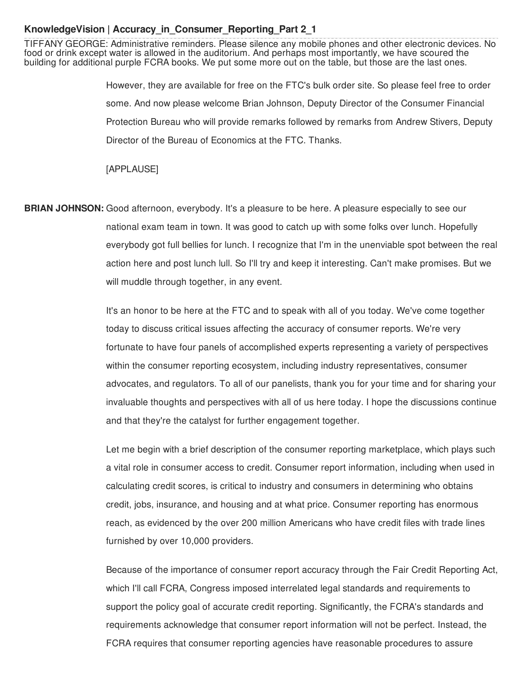# **KnowledgeVision | Accuracy\_in\_Consumer\_Reporting\_Part 2\_1**

 TIFFANY GEORGE: Administrative reminders. Please silence any mobile phones and other electronic devices. No food or drink except water is allowed in the auditorium. And perhaps most importantly, we have scoured the building for additional purple FCRA books. We put some more out on the table, but those are the last ones.

> However, they are available for free on the FTC's bulk order site. So please feel free to order some. And now please welcome Brian Johnson, Deputy Director of the Consumer Financial Protection Bureau who will provide remarks followed by remarks from Andrew Stivers, Deputy Director of the Bureau of Economics at the FTC. Thanks.

[APPLAUSE]

 **BRIAN JOHNSON:** Good afternoon, everybody. It's a pleasure to be here. A pleasure especially to see our national exam team in town. It was good to catch up with some folks over lunch. Hopefully everybody got full bellies for lunch. I recognize that I'm in the unenviable spot between the real action here and post lunch lull. So I'll try and keep it interesting. Can't make promises. But we will muddle through together, in any event.

> It's an honor to be here at the FTC and to speak with all of you today. We've come together today to discuss critical issues affecting the accuracy of consumer reports. We're very fortunate to have four panels of accomplished experts representing a variety of perspectives within the consumer reporting ecosystem, including industry representatives, consumer advocates, and regulators. To all of our panelists, thank you for your time and for sharing your invaluable thoughts and perspectives with all of us here today. I hope the discussions continue and that they're the catalyst for further engagement together.

> Let me begin with a brief description of the consumer reporting marketplace, which plays such a vital role in consumer access to credit. Consumer report information, including when used in calculating credit scores, is critical to industry and consumers in determining who obtains credit, jobs, insurance, and housing and at what price. Consumer reporting has enormous reach, as evidenced by the over 200 million Americans who have credit files with trade lines furnished by over 10,000 providers.

> Because of the importance of consumer report accuracy through the Fair Credit Reporting Act, which I'll call FCRA, Congress imposed interrelated legal standards and requirements to support the policy goal of accurate credit reporting. Significantly, the FCRA's standards and requirements acknowledge that consumer report information will not be perfect. Instead, the FCRA requires that consumer reporting agencies have reasonable procedures to assure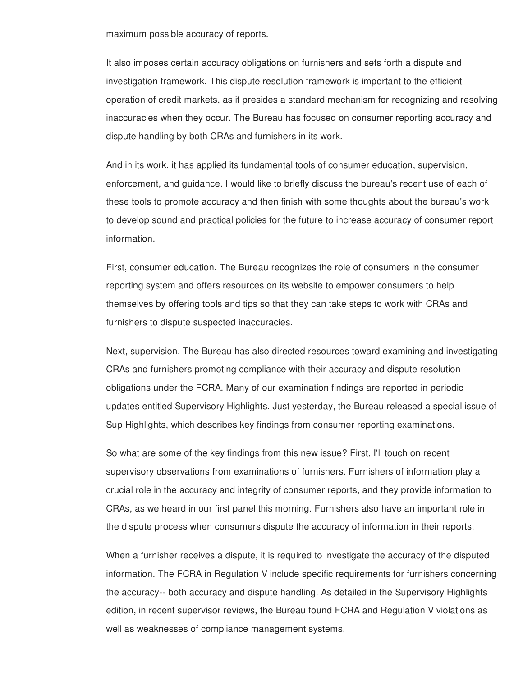maximum possible accuracy of reports.

 It also imposes certain accuracy obligations on furnishers and sets forth a dispute and investigation framework. This dispute resolution framework is important to the efficient operation of credit markets, as it presides a standard mechanism for recognizing and resolving inaccuracies when they occur. The Bureau has focused on consumer reporting accuracy and dispute handling by both CRAs and furnishers in its work.

 And in its work, it has applied its fundamental tools of consumer education, supervision, enforcement, and guidance. I would like to briefly discuss the bureau's recent use of each of these tools to promote accuracy and then finish with some thoughts about the bureau's work to develop sound and practical policies for the future to increase accuracy of consumer report information.

 First, consumer education. The Bureau recognizes the role of consumers in the consumer reporting system and offers resources on its website to empower consumers to help themselves by offering tools and tips so that they can take steps to work with CRAs and furnishers to dispute suspected inaccuracies.

 Next, supervision. The Bureau has also directed resources toward examining and investigating CRAs and furnishers promoting compliance with their accuracy and dispute resolution obligations under the FCRA. Many of our examination findings are reported in periodic updates entitled Supervisory Highlights. Just yesterday, the Bureau released a special issue of Sup Highlights, which describes key findings from consumer reporting examinations.

 So what are some of the key findings from this new issue? First, I'll touch on recent supervisory observations from examinations of furnishers. Furnishers of information play a crucial role in the accuracy and integrity of consumer reports, and they provide information to CRAs, as we heard in our first panel this morning. Furnishers also have an important role in the dispute process when consumers dispute the accuracy of information in their reports.

 When a furnisher receives a dispute, it is required to investigate the accuracy of the disputed information. The FCRA in Regulation V include specific requirements for furnishers concerning the accuracy-- both accuracy and dispute handling. As detailed in the Supervisory Highlights edition, in recent supervisor reviews, the Bureau found FCRA and Regulation V violations as well as weaknesses of compliance management systems.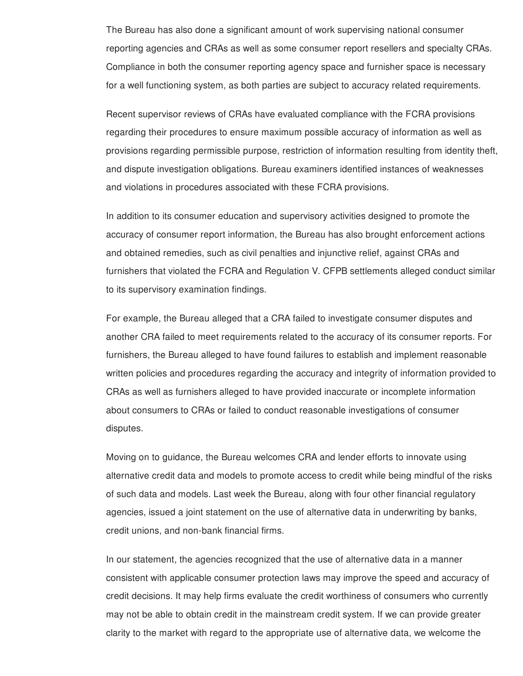The Bureau has also done a significant amount of work supervising national consumer reporting agencies and CRAs as well as some consumer report resellers and specialty CRAs. Compliance in both the consumer reporting agency space and furnisher space is necessary for a well functioning system, as both parties are subject to accuracy related requirements.

 Recent supervisor reviews of CRAs have evaluated compliance with the FCRA provisions regarding their procedures to ensure maximum possible accuracy of information as well as provisions regarding permissible purpose, restriction of information resulting from identity theft, and dispute investigation obligations. Bureau examiners identified instances of weaknesses and violations in procedures associated with these FCRA provisions.

 In addition to its consumer education and supervisory activities designed to promote the accuracy of consumer report information, the Bureau has also brought enforcement actions and obtained remedies, such as civil penalties and injunctive relief, against CRAs and furnishers that violated the FCRA and Regulation V. CFPB settlements alleged conduct similar to its supervisory examination findings.

 For example, the Bureau alleged that a CRA failed to investigate consumer disputes and another CRA failed to meet requirements related to the accuracy of its consumer reports. For furnishers, the Bureau alleged to have found failures to establish and implement reasonable written policies and procedures regarding the accuracy and integrity of information provided to CRAs as well as furnishers alleged to have provided inaccurate or incomplete information about consumers to CRAs or failed to conduct reasonable investigations of consumer disputes.

 Moving on to guidance, the Bureau welcomes CRA and lender efforts to innovate using alternative credit data and models to promote access to credit while being mindful of the risks of such data and models. Last week the Bureau, along with four other financial regulatory agencies, issued a joint statement on the use of alternative data in underwriting by banks, credit unions, and non-bank financial firms.

 In our statement, the agencies recognized that the use of alternative data in a manner consistent with applicable consumer protection laws may improve the speed and accuracy of credit decisions. It may help firms evaluate the credit worthiness of consumers who currently may not be able to obtain credit in the mainstream credit system. If we can provide greater clarity to the market with regard to the appropriate use of alternative data, we welcome the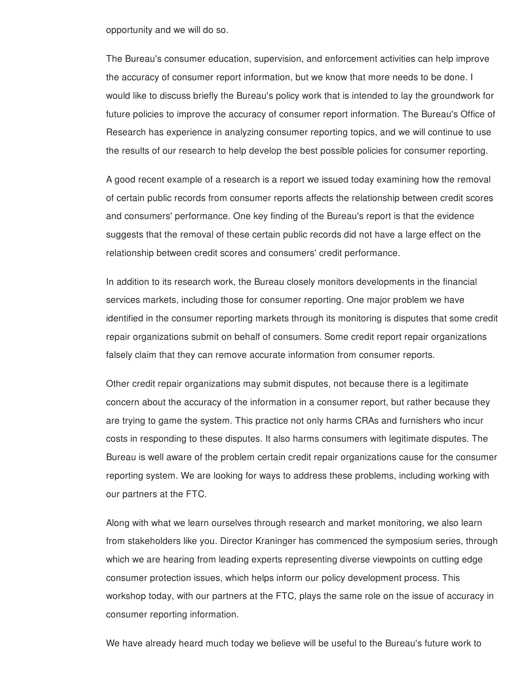opportunity and we will do so.

 The Bureau's consumer education, supervision, and enforcement activities can help improve the accuracy of consumer report information, but we know that more needs to be done. I would like to discuss briefly the Bureau's policy work that is intended to lay the groundwork for future policies to improve the accuracy of consumer report information. The Bureau's Office of Research has experience in analyzing consumer reporting topics, and we will continue to use the results of our research to help develop the best possible policies for consumer reporting.

 A good recent example of a research is a report we issued today examining how the removal of certain public records from consumer reports affects the relationship between credit scores and consumers' performance. One key finding of the Bureau's report is that the evidence suggests that the removal of these certain public records did not have a large effect on the relationship between credit scores and consumers' credit performance.

 In addition to its research work, the Bureau closely monitors developments in the financial services markets, including those for consumer reporting. One major problem we have identified in the consumer reporting markets through its monitoring is disputes that some credit repair organizations submit on behalf of consumers. Some credit report repair organizations falsely claim that they can remove accurate information from consumer reports.

 Other credit repair organizations may submit disputes, not because there is a legitimate concern about the accuracy of the information in a consumer report, but rather because they are trying to game the system. This practice not only harms CRAs and furnishers who incur costs in responding to these disputes. It also harms consumers with legitimate disputes. The Bureau is well aware of the problem certain credit repair organizations cause for the consumer reporting system. We are looking for ways to address these problems, including working with our partners at the FTC.

 Along with what we learn ourselves through research and market monitoring, we also learn from stakeholders like you. Director Kraninger has commenced the symposium series, through which we are hearing from leading experts representing diverse viewpoints on cutting edge consumer protection issues, which helps inform our policy development process. This workshop today, with our partners at the FTC, plays the same role on the issue of accuracy in consumer reporting information.

We have already heard much today we believe will be useful to the Bureau's future work to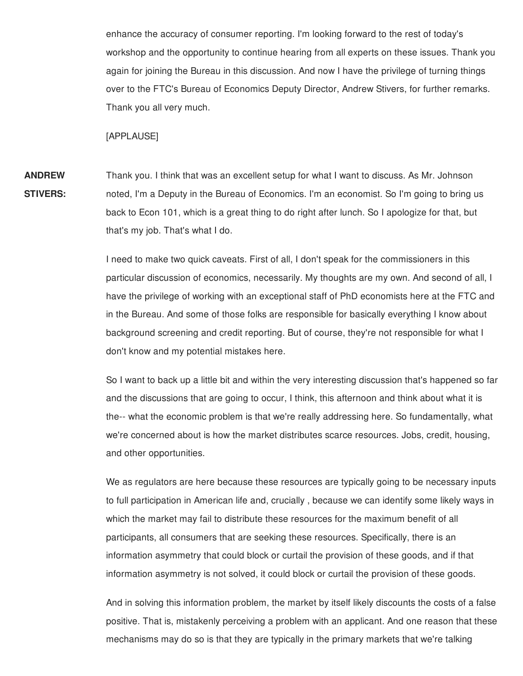enhance the accuracy of consumer reporting. I'm looking forward to the rest of today's workshop and the opportunity to continue hearing from all experts on these issues. Thank you again for joining the Bureau in this discussion. And now I have the privilege of turning things over to the FTC's Bureau of Economics Deputy Director, Andrew Stivers, for further remarks. Thank you all very much.

[APPLAUSE]

 Thank you. I think that was an excellent setup for what I want to discuss. As Mr. Johnson noted, I'm a Deputy in the Bureau of Economics. I'm an economist. So I'm going to bring us back to Econ 101, which is a great thing to do right after lunch. So I apologize for that, but that's my job. That's what I do. **ANDREW STIVERS:**

> I need to make two quick caveats. First of all, I don't speak for the commissioners in this particular discussion of economics, necessarily. My thoughts are my own. And second of all, I have the privilege of working with an exceptional staff of PhD economists here at the FTC and in the Bureau. And some of those folks are responsible for basically everything I know about background screening and credit reporting. But of course, they're not responsible for what I don't know and my potential mistakes here.

> So I want to back up a little bit and within the very interesting discussion that's happened so far and the discussions that are going to occur, I think, this afternoon and think about what it is the-- what the economic problem is that we're really addressing here. So fundamentally, what we're concerned about is how the market distributes scarce resources. Jobs, credit, housing, and other opportunities.

> We as regulators are here because these resources are typically going to be necessary inputs to full participation in American life and, crucially , because we can identify some likely ways in which the market may fail to distribute these resources for the maximum benefit of all participants, all consumers that are seeking these resources. Specifically, there is an information asymmetry that could block or curtail the provision of these goods, and if that information asymmetry is not solved, it could block or curtail the provision of these goods.

> And in solving this information problem, the market by itself likely discounts the costs of a false positive. That is, mistakenly perceiving a problem with an applicant. And one reason that these mechanisms may do so is that they are typically in the primary markets that we're talking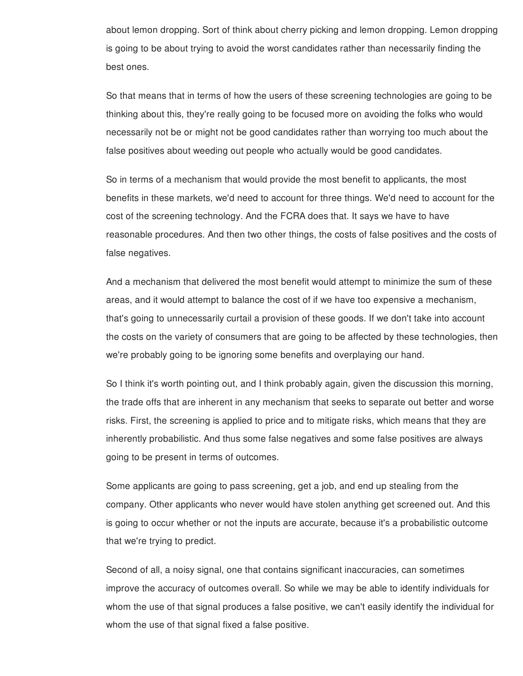about lemon dropping. Sort of think about cherry picking and lemon dropping. Lemon dropping is going to be about trying to avoid the worst candidates rather than necessarily finding the best ones.

 So that means that in terms of how the users of these screening technologies are going to be thinking about this, they're really going to be focused more on avoiding the folks who would necessarily not be or might not be good candidates rather than worrying too much about the false positives about weeding out people who actually would be good candidates.

 So in terms of a mechanism that would provide the most benefit to applicants, the most benefits in these markets, we'd need to account for three things. We'd need to account for the cost of the screening technology. And the FCRA does that. It says we have to have reasonable procedures. And then two other things, the costs of false positives and the costs of false negatives.

 And a mechanism that delivered the most benefit would attempt to minimize the sum of these areas, and it would attempt to balance the cost of if we have too expensive a mechanism, that's going to unnecessarily curtail a provision of these goods. If we don't take into account the costs on the variety of consumers that are going to be affected by these technologies, then we're probably going to be ignoring some benefits and overplaying our hand.

 So I think it's worth pointing out, and I think probably again, given the discussion this morning, the trade offs that are inherent in any mechanism that seeks to separate out better and worse risks. First, the screening is applied to price and to mitigate risks, which means that they are inherently probabilistic. And thus some false negatives and some false positives are always going to be present in terms of outcomes.

 Some applicants are going to pass screening, get a job, and end up stealing from the company. Other applicants who never would have stolen anything get screened out. And this is going to occur whether or not the inputs are accurate, because it's a probabilistic outcome that we're trying to predict.

 Second of all, a noisy signal, one that contains significant inaccuracies, can sometimes improve the accuracy of outcomes overall. So while we may be able to identify individuals for whom the use of that signal produces a false positive, we can't easily identify the individual for whom the use of that signal fixed a false positive.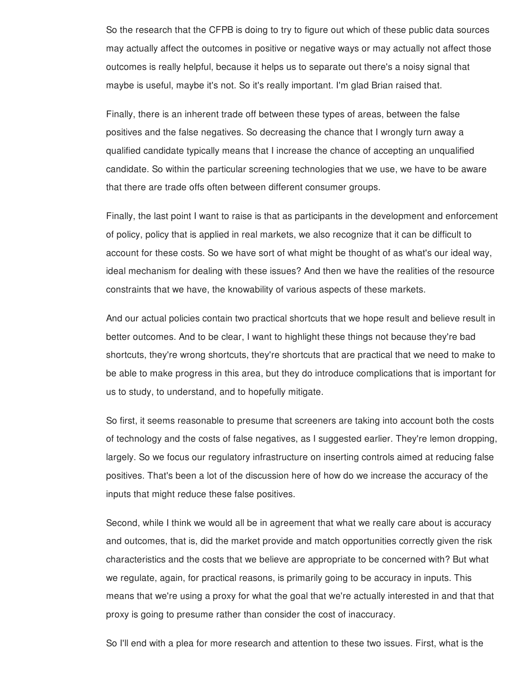So the research that the CFPB is doing to try to figure out which of these public data sources may actually affect the outcomes in positive or negative ways or may actually not affect those outcomes is really helpful, because it helps us to separate out there's a noisy signal that maybe is useful, maybe it's not. So it's really important. I'm glad Brian raised that.

 Finally, there is an inherent trade off between these types of areas, between the false positives and the false negatives. So decreasing the chance that I wrongly turn away a qualified candidate typically means that I increase the chance of accepting an unqualified candidate. So within the particular screening technologies that we use, we have to be aware that there are trade offs often between different consumer groups.

 Finally, the last point I want to raise is that as participants in the development and enforcement of policy, policy that is applied in real markets, we also recognize that it can be difficult to account for these costs. So we have sort of what might be thought of as what's our ideal way, ideal mechanism for dealing with these issues? And then we have the realities of the resource constraints that we have, the knowability of various aspects of these markets.

 And our actual policies contain two practical shortcuts that we hope result and believe result in better outcomes. And to be clear, I want to highlight these things not because they're bad shortcuts, they're wrong shortcuts, they're shortcuts that are practical that we need to make to be able to make progress in this area, but they do introduce complications that is important for us to study, to understand, and to hopefully mitigate.

 So first, it seems reasonable to presume that screeners are taking into account both the costs of technology and the costs of false negatives, as I suggested earlier. They're lemon dropping, largely. So we focus our regulatory infrastructure on inserting controls aimed at reducing false positives. That's been a lot of the discussion here of how do we increase the accuracy of the inputs that might reduce these false positives.

 Second, while I think we would all be in agreement that what we really care about is accuracy and outcomes, that is, did the market provide and match opportunities correctly given the risk characteristics and the costs that we believe are appropriate to be concerned with? But what we regulate, again, for practical reasons, is primarily going to be accuracy in inputs. This means that we're using a proxy for what the goal that we're actually interested in and that that proxy is going to presume rather than consider the cost of inaccuracy.

So I'll end with a plea for more research and attention to these two issues. First, what is the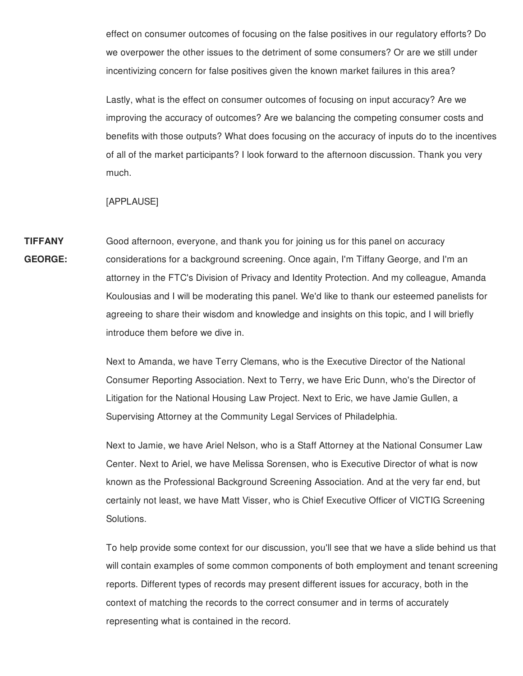effect on consumer outcomes of focusing on the false positives in our regulatory efforts? Do we overpower the other issues to the detriment of some consumers? Or are we still under incentivizing concern for false positives given the known market failures in this area?

 Lastly, what is the effect on consumer outcomes of focusing on input accuracy? Are we improving the accuracy of outcomes? Are we balancing the competing consumer costs and benefits with those outputs? What does focusing on the accuracy of inputs do to the incentives of all of the market participants? I look forward to the afternoon discussion. Thank you very much.

## [APPLAUSE]

 **TIFFANY** Good afternoon, everyone, and thank you for joining us for this panel on accuracy **GEORGE:** considerations for a background screening. Once again, I'm Tiffany George, and I'm an attorney in the FTC's Division of Privacy and Identity Protection. And my colleague, Amanda Koulousias and I will be moderating this panel. We'd like to thank our esteemed panelists for agreeing to share their wisdom and knowledge and insights on this topic, and I will briefly introduce them before we dive in.

> Next to Amanda, we have Terry Clemans, who is the Executive Director of the National Consumer Reporting Association. Next to Terry, we have Eric Dunn, who's the Director of Litigation for the National Housing Law Project. Next to Eric, we have Jamie Gullen, a Supervising Attorney at the Community Legal Services of Philadelphia.

 Next to Jamie, we have Ariel Nelson, who is a Staff Attorney at the National Consumer Law Center. Next to Ariel, we have Melissa Sorensen, who is Executive Director of what is now known as the Professional Background Screening Association. And at the very far end, but certainly not least, we have Matt Visser, who is Chief Executive Officer of VICTIG Screening Solutions.

 To help provide some context for our discussion, you'll see that we have a slide behind us that will contain examples of some common components of both employment and tenant screening reports. Different types of records may present different issues for accuracy, both in the context of matching the records to the correct consumer and in terms of accurately representing what is contained in the record.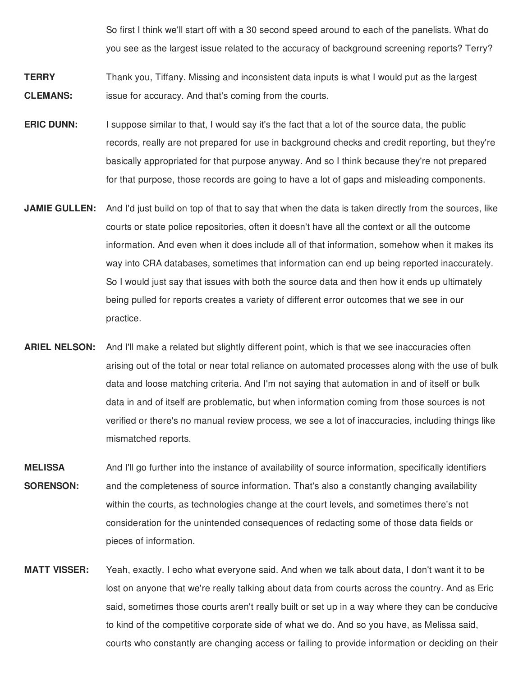So first I think we'll start off with a 30 second speed around to each of the panelists. What do you see as the largest issue related to the accuracy of background screening reports? Terry?

- **TERRY** Thank you, Tiffany. Missing and inconsistent data inputs is what I would put as the largest **CLEMANS:** issue for accuracy. And that's coming from the courts.
- **ERIC DUNN:** I suppose similar to that, I would say it's the fact that a lot of the source data, the public records, really are not prepared for use in background checks and credit reporting, but they're basically appropriated for that purpose anyway. And so I think because they're not prepared for that purpose, those records are going to have a lot of gaps and misleading components.
- **JAMIE GULLEN:** And I'd just build on top of that to say that when the data is taken directly from the sources, like courts or state police repositories, often it doesn't have all the context or all the outcome information. And even when it does include all of that information, somehow when it makes its way into CRA databases, sometimes that information can end up being reported inaccurately. So I would just say that issues with both the source data and then how it ends up ultimately being pulled for reports creates a variety of different error outcomes that we see in our practice.
- **ARIEL NELSON:** And I'll make a related but slightly different point, which is that we see inaccuracies often arising out of the total or near total reliance on automated processes along with the use of bulk data and loose matching criteria. And I'm not saying that automation in and of itself or bulk data in and of itself are problematic, but when information coming from those sources is not verified or there's no manual review process, we see a lot of inaccuracies, including things like mismatched reports.
- **MELISSA** And I'll go further into the instance of availability of source information, specifically identifiers **SORENSON:** and the completeness of source information. That's also a constantly changing availability within the courts, as technologies change at the court levels, and sometimes there's not consideration for the unintended consequences of redacting some of those data fields or pieces of information.
- **MATT VISSER:** Yeah, exactly. I echo what everyone said. And when we talk about data, I don't want it to be lost on anyone that we're really talking about data from courts across the country. And as Eric said, sometimes those courts aren't really built or set up in a way where they can be conducive to kind of the competitive corporate side of what we do. And so you have, as Melissa said, courts who constantly are changing access or failing to provide information or deciding on their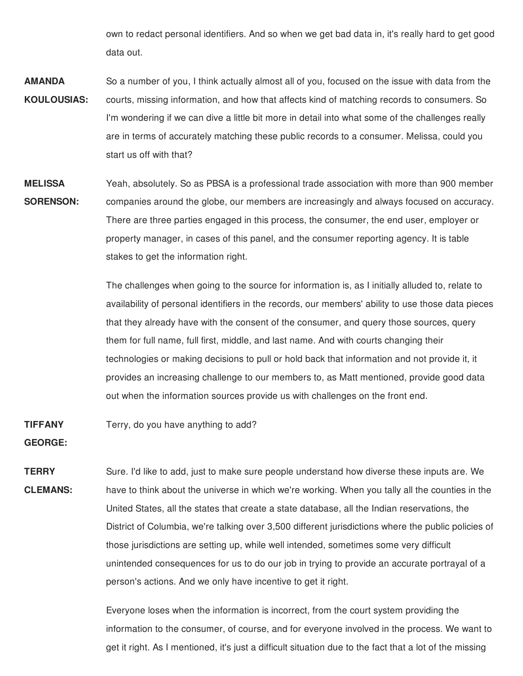own to redact personal identifiers. And so when we get bad data in, it's really hard to get good data out.

- So a number of you, I think actually almost all of you, focused on the issue with data from the courts, missing information, and how that affects kind of matching records to consumers. So I'm wondering if we can dive a little bit more in detail into what some of the challenges really are in terms of accurately matching these public records to a consumer. Melissa, could you start us off with that? **AMANDA KOULOUSIAS:**
- Yeah, absolutely. So as PBSA is a professional trade association with more than 900 member companies around the globe, our members are increasingly and always focused on accuracy. There are three parties engaged in this process, the consumer, the end user, employer or property manager, in cases of this panel, and the consumer reporting agency. It is table stakes to get the information right. **MELISSA SORENSON:**

 The challenges when going to the source for information is, as I initially alluded to, relate to availability of personal identifiers in the records, our members' ability to use those data pieces that they already have with the consent of the consumer, and query those sources, query them for full name, full first, middle, and last name. And with courts changing their technologies or making decisions to pull or hold back that information and not provide it, it provides an increasing challenge to our members to, as Matt mentioned, provide good data out when the information sources provide us with challenges on the front end.

#### Terry, do you have anything to add? **TIFFANY**

**GEORGE:**

 Sure. I'd like to add, just to make sure people understand how diverse these inputs are. We have to think about the universe in which we're working. When you tally all the counties in the United States, all the states that create a state database, all the Indian reservations, the District of Columbia, we're talking over 3,500 different jurisdictions where the public policies of those jurisdictions are setting up, while well intended, sometimes some very difficult unintended consequences for us to do our job in trying to provide an accurate portrayal of a person's actions. And we only have incentive to get it right. **TERRY CLEMANS:**

> Everyone loses when the information is incorrect, from the court system providing the information to the consumer, of course, and for everyone involved in the process. We want to get it right. As I mentioned, it's just a difficult situation due to the fact that a lot of the missing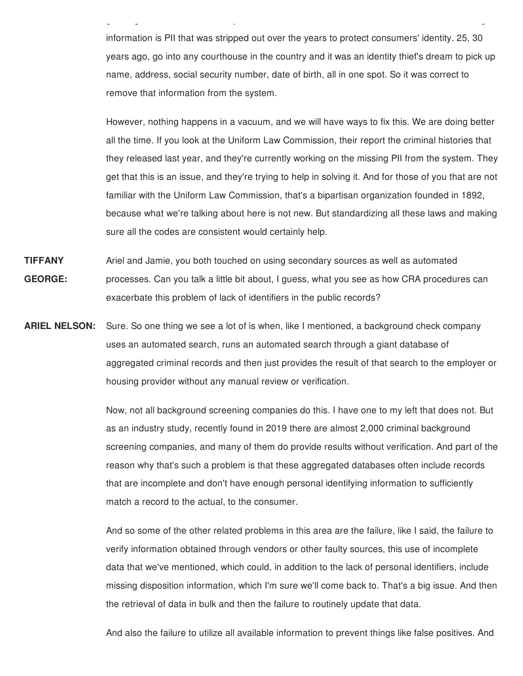information is PII that was stripped out over the years to protect consumers' identity. 25, 30 years ago, go into any courthouse in the country and it was an identity thief's dream to pick up name, address, social security number, date of birth, all in one spot. So it was correct to remove that information from the system.

g g , j g

 However, nothing happens in a vacuum, and we will have ways to fix this. We are doing better all the time. If you look at the Uniform Law Commission, their report the criminal histories that they released last year, and they're currently working on the missing PII from the system. They get that this is an issue, and they're trying to help in solving it. And for those of you that are not familiar with the Uniform Law Commission, that's a bipartisan organization founded in 1892, because what we're talking about here is not new. But standardizing all these laws and making sure all the codes are consistent would certainly help.

- **TIFFANY** Ariel and Jamie, you both touched on using secondary sources as well as automated **GEORGE:** processes. Can you talk a little bit about, I guess, what you see as how CRA procedures can exacerbate this problem of lack of identifiers in the public records?
- **ARIEL NELSON:** Sure. So one thing we see a lot of is when, like I mentioned, a background check company uses an automated search, runs an automated search through a giant database of aggregated criminal records and then just provides the result of that search to the employer or housing provider without any manual review or verification.

 Now, not all background screening companies do this. I have one to my left that does not. But as an industry study, recently found in 2019 there are almost 2,000 criminal background screening companies, and many of them do provide results without verification. And part of the reason why that's such a problem is that these aggregated databases often include records that are incomplete and don't have enough personal identifying information to sufficiently match a record to the actual, to the consumer.

 And so some of the other related problems in this area are the failure, like I said, the failure to verify information obtained through vendors or other faulty sources, this use of incomplete data that we've mentioned, which could, in addition to the lack of personal identifiers, include missing disposition information, which I'm sure we'll come back to. That's a big issue. And then the retrieval of data in bulk and then the failure to routinely update that data.

And also the failure to utilize all available information to prevent things like false positives. And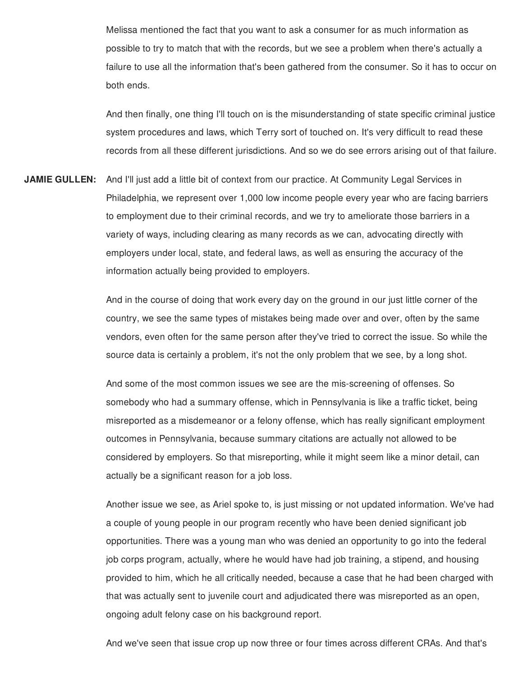Melissa mentioned the fact that you want to ask a consumer for as much information as possible to try to match that with the records, but we see a problem when there's actually a failure to use all the information that's been gathered from the consumer. So it has to occur on both ends.

 And then finally, one thing I'll touch on is the misunderstanding of state specific criminal justice system procedures and laws, which Terry sort of touched on. It's very difficult to read these records from all these different jurisdictions. And so we do see errors arising out of that failure.

 **JAMIE GULLEN:** And I'll just add a little bit of context from our practice. At Community Legal Services in Philadelphia, we represent over 1,000 low income people every year who are facing barriers to employment due to their criminal records, and we try to ameliorate those barriers in a variety of ways, including clearing as many records as we can, advocating directly with employers under local, state, and federal laws, as well as ensuring the accuracy of the information actually being provided to employers.

> And in the course of doing that work every day on the ground in our just little corner of the country, we see the same types of mistakes being made over and over, often by the same vendors, even often for the same person after they've tried to correct the issue. So while the source data is certainly a problem, it's not the only problem that we see, by a long shot.

> And some of the most common issues we see are the mis-screening of offenses. So somebody who had a summary offense, which in Pennsylvania is like a traffic ticket, being misreported as a misdemeanor or a felony offense, which has really significant employment outcomes in Pennsylvania, because summary citations are actually not allowed to be considered by employers. So that misreporting, while it might seem like a minor detail, can actually be a significant reason for a job loss.

 Another issue we see, as Ariel spoke to, is just missing or not updated information. We've had a couple of young people in our program recently who have been denied significant job opportunities. There was a young man who was denied an opportunity to go into the federal job corps program, actually, where he would have had job training, a stipend, and housing provided to him, which he all critically needed, because a case that he had been charged with that was actually sent to juvenile court and adjudicated there was misreported as an open, ongoing adult felony case on his background report.

And we've seen that issue crop up now three or four times across different CRAs. And that's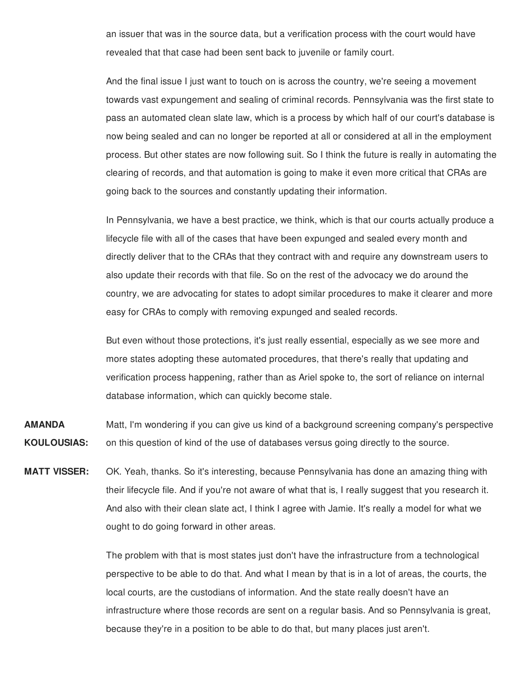an issuer that was in the source data, but a verification process with the court would have revealed that that case had been sent back to juvenile or family court.

 And the final issue I just want to touch on is across the country, we're seeing a movement towards vast expungement and sealing of criminal records. Pennsylvania was the first state to pass an automated clean slate law, which is a process by which half of our court's database is now being sealed and can no longer be reported at all or considered at all in the employment process. But other states are now following suit. So I think the future is really in automating the clearing of records, and that automation is going to make it even more critical that CRAs are going back to the sources and constantly updating their information.

 In Pennsylvania, we have a best practice, we think, which is that our courts actually produce a lifecycle file with all of the cases that have been expunged and sealed every month and directly deliver that to the CRAs that they contract with and require any downstream users to also update their records with that file. So on the rest of the advocacy we do around the country, we are advocating for states to adopt similar procedures to make it clearer and more easy for CRAs to comply with removing expunged and sealed records.

 But even without those protections, it's just really essential, especially as we see more and more states adopting these automated procedures, that there's really that updating and verification process happening, rather than as Ariel spoke to, the sort of reliance on internal database information, which can quickly become stale.

 Matt, I'm wondering if you can give us kind of a background screening company's perspective on this question of kind of the use of databases versus going directly to the source. **AMANDA KOULOUSIAS:**

 OK. Yeah, thanks. So it's interesting, because Pennsylvania has done an amazing thing with their lifecycle file. And if you're not aware of what that is, I really suggest that you research it. And also with their clean slate act, I think I agree with Jamie. It's really a model for what we ought to do going forward in other areas. **MATT VISSER:**

> The problem with that is most states just don't have the infrastructure from a technological perspective to be able to do that. And what I mean by that is in a lot of areas, the courts, the local courts, are the custodians of information. And the state really doesn't have an infrastructure where those records are sent on a regular basis. And so Pennsylvania is great, because they're in a position to be able to do that, but many places just aren't.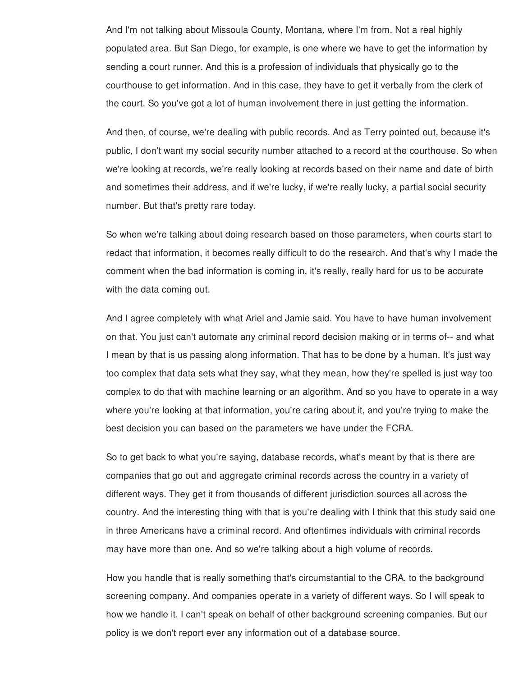And I'm not talking about Missoula County, Montana, where I'm from. Not a real highly populated area. But San Diego, for example, is one where we have to get the information by sending a court runner. And this is a profession of individuals that physically go to the courthouse to get information. And in this case, they have to get it verbally from the clerk of the court. So you've got a lot of human involvement there in just getting the information.

 And then, of course, we're dealing with public records. And as Terry pointed out, because it's public, I don't want my social security number attached to a record at the courthouse. So when we're looking at records, we're really looking at records based on their name and date of birth and sometimes their address, and if we're lucky, if we're really lucky, a partial social security number. But that's pretty rare today.

 So when we're talking about doing research based on those parameters, when courts start to redact that information, it becomes really difficult to do the research. And that's why I made the comment when the bad information is coming in, it's really, really hard for us to be accurate with the data coming out.

 And I agree completely with what Ariel and Jamie said. You have to have human involvement on that. You just can't automate any criminal record decision making or in terms of-- and what I mean by that is us passing along information. That has to be done by a human. It's just way too complex that data sets what they say, what they mean, how they're spelled is just way too complex to do that with machine learning or an algorithm. And so you have to operate in a way where you're looking at that information, you're caring about it, and you're trying to make the best decision you can based on the parameters we have under the FCRA.

 So to get back to what you're saying, database records, what's meant by that is there are companies that go out and aggregate criminal records across the country in a variety of different ways. They get it from thousands of different jurisdiction sources all across the country. And the interesting thing with that is you're dealing with I think that this study said one in three Americans have a criminal record. And oftentimes individuals with criminal records may have more than one. And so we're talking about a high volume of records.

 How you handle that is really something that's circumstantial to the CRA, to the background screening company. And companies operate in a variety of different ways. So I will speak to how we handle it. I can't speak on behalf of other background screening companies. But our policy is we don't report ever any information out of a database source.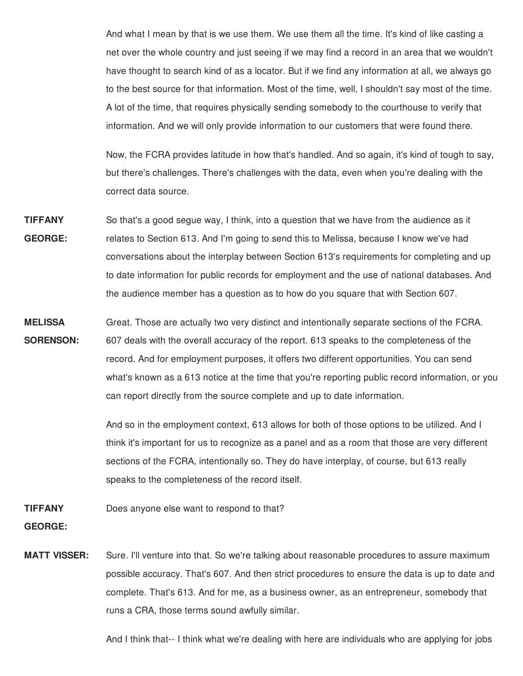And what I mean by that is we use them. We use them all the time. It's kind of like casting a net over the whole country and just seeing if we may find a record in an area that we wouldn't have thought to search kind of as a locator. But if we find any information at all, we always go to the best source for that information. Most of the time, well, I shouldn't say most of the time. A lot of the time, that requires physically sending somebody to the courthouse to verify that information. And we will only provide information to our customers that were found there.

 Now, the FCRA provides latitude in how that's handled. And so again, it's kind of tough to say, but there's challenges. There's challenges with the data, even when you're dealing with the correct data source.

- So that's a good segue way, I think, into a question that we have from the audience as it relates to Section 613. And I'm going to send this to Melissa, because I know we've had conversations about the interplay between Section 613's requirements for completing and up to date information for public records for employment and the use of national databases. And the audience member has a question as to how do you square that with Section 607. **TIFFANY GEORGE:**
- Great. Those are actually two very distinct and intentionally separate sections of the FCRA. 607 deals with the overall accuracy of the report. 613 speaks to the completeness of the record. And for employment purposes, it offers two different opportunities. You can send what's known as a 613 notice at the time that you're reporting public record information, or you can report directly from the source complete and up to date information. **MELISSA SORENSON:**

 And so in the employment context, 613 allows for both of those options to be utilized. And I think it's important for us to recognize as a panel and as a room that those are very different sections of the FCRA, intentionally so. They do have interplay, of course, but 613 really speaks to the completeness of the record itself.

 Does anyone else want to respond to that? **TIFFANY**

**GEORGE:**

 Sure. I'll venture into that. So we're talking about reasonable procedures to assure maximum possible accuracy. That's 607. And then strict procedures to ensure the data is up to date and complete. That's 613. And for me, as a business owner, as an entrepreneur, somebody that runs a CRA, those terms sound awfully similar. **MATT VISSER:**

And I think that-- I think what we're dealing with here are individuals who are applying for jobs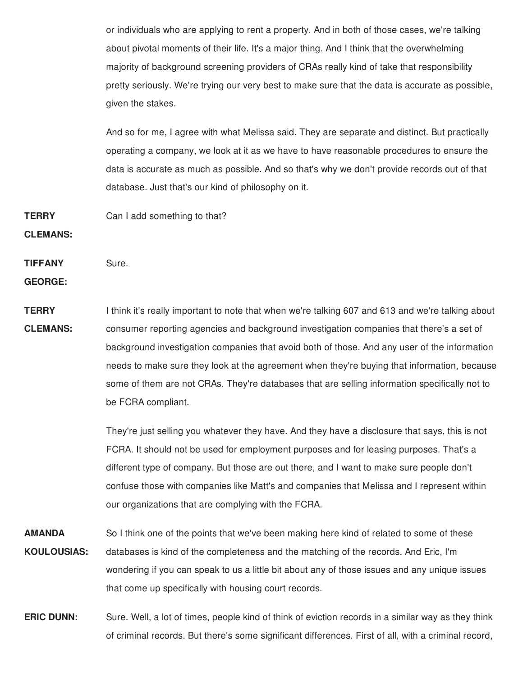or individuals who are applying to rent a property. And in both of those cases, we're talking about pivotal moments of their life. It's a major thing. And I think that the overwhelming majority of background screening providers of CRAs really kind of take that responsibility pretty seriously. We're trying our very best to make sure that the data is accurate as possible, given the stakes.

 And so for me, I agree with what Melissa said. They are separate and distinct. But practically operating a company, we look at it as we have to have reasonable procedures to ensure the data is accurate as much as possible. And so that's why we don't provide records out of that database. Just that's our kind of philosophy on it.

 Can I add something to that? **TERRY**

**CLEMANS:**

**TIFFANY** Sure.

**GEORGE:**

 I think it's really important to note that when we're talking 607 and 613 and we're talking about consumer reporting agencies and background investigation companies that there's a set of background investigation companies that avoid both of those. And any user of the information needs to make sure they look at the agreement when they're buying that information, because some of them are not CRAs. They're databases that are selling information specifically not to be FCRA compliant. **TERRY CLEMANS:**

> They're just selling you whatever they have. And they have a disclosure that says, this is not FCRA. It should not be used for employment purposes and for leasing purposes. That's a different type of company. But those are out there, and I want to make sure people don't confuse those with companies like Matt's and companies that Melissa and I represent within our organizations that are complying with the FCRA.

 So I think one of the points that we've been making here kind of related to some of these databases is kind of the completeness and the matching of the records. And Eric, I'm wondering if you can speak to us a little bit about any of those issues and any unique issues that come up specifically with housing court records. **AMANDA KOULOUSIAS:**

 **ERIC DUNN:** Sure. Well, a lot of times, people kind of think of eviction records in a similar way as they think of criminal records. But there's some significant differences. First of all, with a criminal record,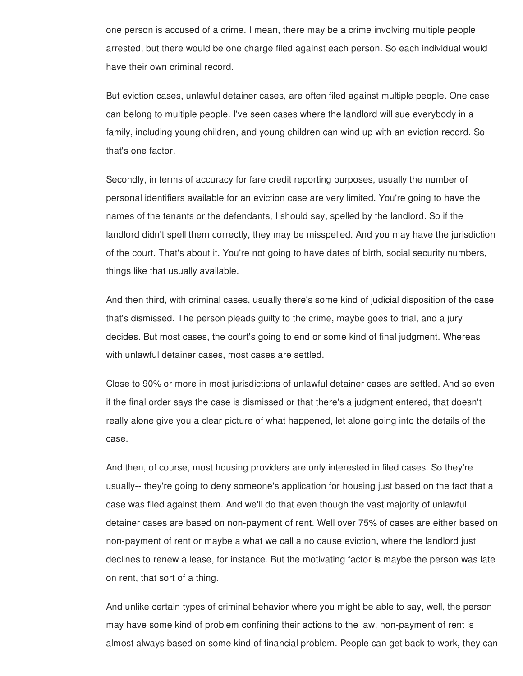one person is accused of a crime. I mean, there may be a crime involving multiple people arrested, but there would be one charge filed against each person. So each individual would have their own criminal record.

 But eviction cases, unlawful detainer cases, are often filed against multiple people. One case can belong to multiple people. I've seen cases where the landlord will sue everybody in a family, including young children, and young children can wind up with an eviction record. So that's one factor.

 Secondly, in terms of accuracy for fare credit reporting purposes, usually the number of personal identifiers available for an eviction case are very limited. You're going to have the names of the tenants or the defendants, I should say, spelled by the landlord. So if the landlord didn't spell them correctly, they may be misspelled. And you may have the jurisdiction of the court. That's about it. You're not going to have dates of birth, social security numbers, things like that usually available.

 And then third, with criminal cases, usually there's some kind of judicial disposition of the case that's dismissed. The person pleads guilty to the crime, maybe goes to trial, and a jury decides. But most cases, the court's going to end or some kind of final judgment. Whereas with unlawful detainer cases, most cases are settled.

 Close to 90% or more in most jurisdictions of unlawful detainer cases are settled. And so even if the final order says the case is dismissed or that there's a judgment entered, that doesn't really alone give you a clear picture of what happened, let alone going into the details of the case.

 And then, of course, most housing providers are only interested in filed cases. So they're usually-- they're going to deny someone's application for housing just based on the fact that a case was filed against them. And we'll do that even though the vast majority of unlawful detainer cases are based on non-payment of rent. Well over 75% of cases are either based on non-payment of rent or maybe a what we call a no cause eviction, where the landlord just declines to renew a lease, for instance. But the motivating factor is maybe the person was late on rent, that sort of a thing.

 And unlike certain types of criminal behavior where you might be able to say, well, the person may have some kind of problem confining their actions to the law, non-payment of rent is almost always based on some kind of financial problem. People can get back to work, they can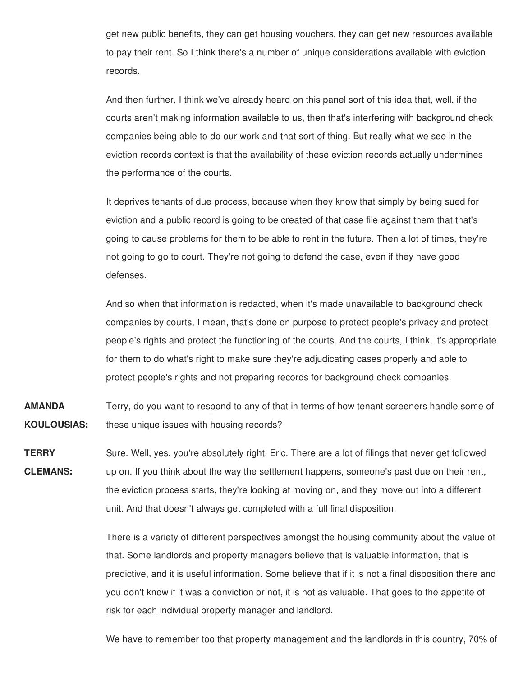get new public benefits, they can get housing vouchers, they can get new resources available to pay their rent. So I think there's a number of unique considerations available with eviction records.

 And then further, I think we've already heard on this panel sort of this idea that, well, if the courts aren't making information available to us, then that's interfering with background check companies being able to do our work and that sort of thing. But really what we see in the eviction records context is that the availability of these eviction records actually undermines the performance of the courts.

 It deprives tenants of due process, because when they know that simply by being sued for eviction and a public record is going to be created of that case file against them that that's going to cause problems for them to be able to rent in the future. Then a lot of times, they're not going to go to court. They're not going to defend the case, even if they have good defenses.

 And so when that information is redacted, when it's made unavailable to background check companies by courts, I mean, that's done on purpose to protect people's privacy and protect people's rights and protect the functioning of the courts. And the courts, I think, it's appropriate for them to do what's right to make sure they're adjudicating cases properly and able to protect people's rights and not preparing records for background check companies.

- Terry, do you want to respond to any of that in terms of how tenant screeners handle some of these unique issues with housing records? **AMANDA KOULOUSIAS:**
- Sure. Well, yes, you're absolutely right, Eric. There are a lot of filings that never get followed up on. If you think about the way the settlement happens, someone's past due on their rent, the eviction process starts, they're looking at moving on, and they move out into a different unit. And that doesn't always get completed with a full final disposition. **TERRY CLEMANS:**

 There is a variety of different perspectives amongst the housing community about the value of that. Some landlords and property managers believe that is valuable information, that is predictive, and it is useful information. Some believe that if it is not a final disposition there and you don't know if it was a conviction or not, it is not as valuable. That goes to the appetite of risk for each individual property manager and landlord.

We have to remember too that property management and the landlords in this country, 70% of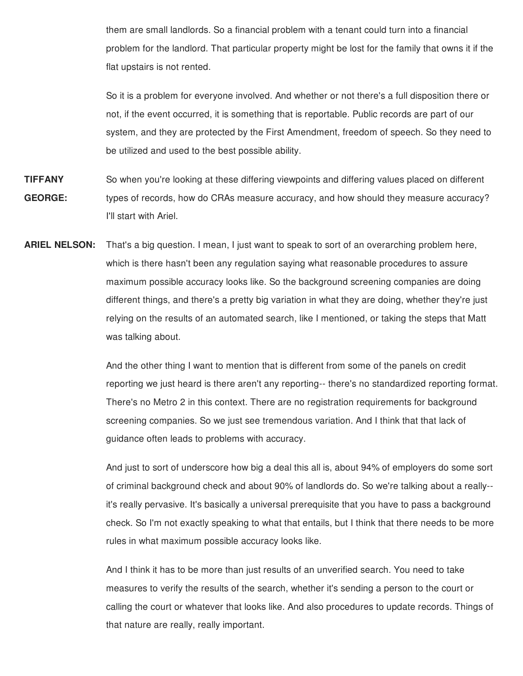them are small landlords. So a financial problem with a tenant could turn into a financial problem for the landlord. That particular property might be lost for the family that owns it if the flat upstairs is not rented.

 So it is a problem for everyone involved. And whether or not there's a full disposition there or not, if the event occurred, it is something that is reportable. Public records are part of our system, and they are protected by the First Amendment, freedom of speech. So they need to be utilized and used to the best possible ability.

- **TIFFANY** So when you're looking at these differing viewpoints and differing values placed on different **GEORGE:** types of records, how do CRAs measure accuracy, and how should they measure accuracy? I'll start with Ariel.
- **ARIEL NELSON:** That's a big question. I mean, I just want to speak to sort of an overarching problem here, which is there hasn't been any regulation saying what reasonable procedures to assure maximum possible accuracy looks like. So the background screening companies are doing different things, and there's a pretty big variation in what they are doing, whether they're just relying on the results of an automated search, like I mentioned, or taking the steps that Matt was talking about.

 And the other thing I want to mention that is different from some of the panels on credit reporting we just heard is there aren't any reporting-- there's no standardized reporting format. There's no Metro 2 in this context. There are no registration requirements for background screening companies. So we just see tremendous variation. And I think that that lack of guidance often leads to problems with accuracy.

 And just to sort of underscore how big a deal this all is, about 94% of employers do some sort of criminal background check and about 90% of landlords do. So we're talking about a really-- it's really pervasive. It's basically a universal prerequisite that you have to pass a background check. So I'm not exactly speaking to what that entails, but I think that there needs to be more rules in what maximum possible accuracy looks like.

 And I think it has to be more than just results of an unverified search. You need to take measures to verify the results of the search, whether it's sending a person to the court or calling the court or whatever that looks like. And also procedures to update records. Things of that nature are really, really important.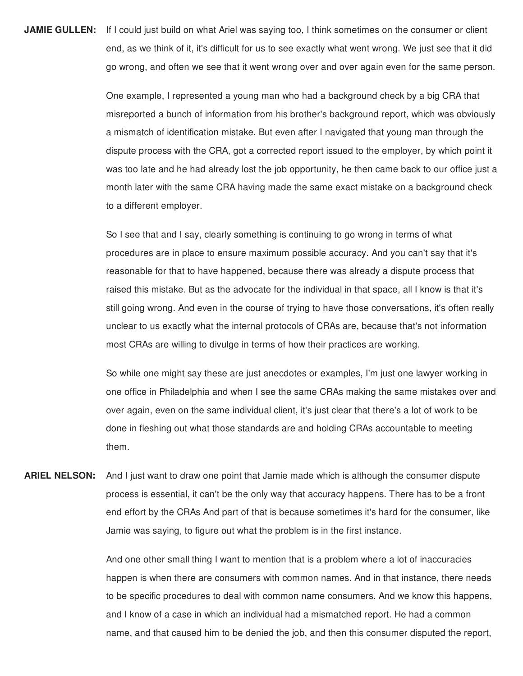**JAMIE GULLEN:** If I could just build on what Ariel was saying too, I think sometimes on the consumer or client end, as we think of it, it's difficult for us to see exactly what went wrong. We just see that it did go wrong, and often we see that it went wrong over and over again even for the same person.

> One example, I represented a young man who had a background check by a big CRA that misreported a bunch of information from his brother's background report, which was obviously a mismatch of identification mistake. But even after I navigated that young man through the dispute process with the CRA, got a corrected report issued to the employer, by which point it was too late and he had already lost the job opportunity, he then came back to our office just a month later with the same CRA having made the same exact mistake on a background check to a different employer.

> So I see that and I say, clearly something is continuing to go wrong in terms of what procedures are in place to ensure maximum possible accuracy. And you can't say that it's reasonable for that to have happened, because there was already a dispute process that raised this mistake. But as the advocate for the individual in that space, all I know is that it's still going wrong. And even in the course of trying to have those conversations, it's often really unclear to us exactly what the internal protocols of CRAs are, because that's not information most CRAs are willing to divulge in terms of how their practices are working.

> So while one might say these are just anecdotes or examples, I'm just one lawyer working in one office in Philadelphia and when I see the same CRAs making the same mistakes over and over again, even on the same individual client, it's just clear that there's a lot of work to be done in fleshing out what those standards are and holding CRAs accountable to meeting them.

 **ARIEL NELSON:** And I just want to draw one point that Jamie made which is although the consumer dispute process is essential, it can't be the only way that accuracy happens. There has to be a front end effort by the CRAs And part of that is because sometimes it's hard for the consumer, like Jamie was saying, to figure out what the problem is in the first instance.

> And one other small thing I want to mention that is a problem where a lot of inaccuracies happen is when there are consumers with common names. And in that instance, there needs to be specific procedures to deal with common name consumers. And we know this happens, and I know of a case in which an individual had a mismatched report. He had a common name, and that caused him to be denied the job, and then this consumer disputed the report,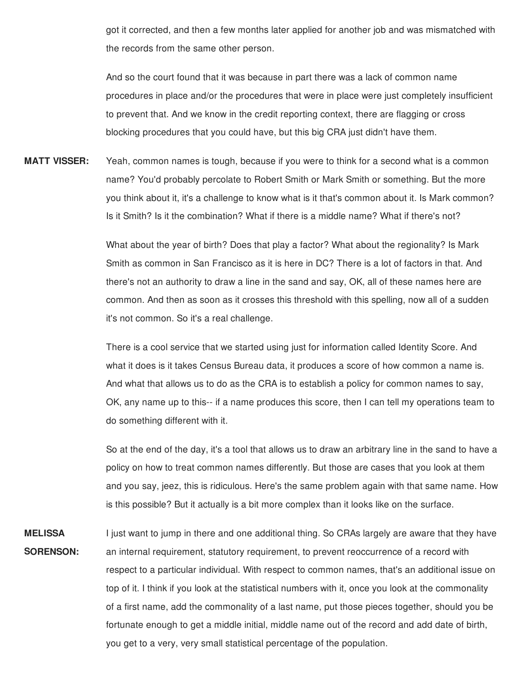got it corrected, and then a few months later applied for another job and was mismatched with the records from the same other person.

 And so the court found that it was because in part there was a lack of common name procedures in place and/or the procedures that were in place were just completely insufficient to prevent that. And we know in the credit reporting context, there are flagging or cross blocking procedures that you could have, but this big CRA just didn't have them.

 Yeah, common names is tough, because if you were to think for a second what is a common name? You'd probably percolate to Robert Smith or Mark Smith or something. But the more you think about it, it's a challenge to know what is it that's common about it. Is Mark common? Is it Smith? Is it the combination? What if there is a middle name? What if there's not? **MATT VISSER:**

> What about the year of birth? Does that play a factor? What about the regionality? Is Mark Smith as common in San Francisco as it is here in DC? There is a lot of factors in that. And there's not an authority to draw a line in the sand and say, OK, all of these names here are common. And then as soon as it crosses this threshold with this spelling, now all of a sudden it's not common. So it's a real challenge.

 There is a cool service that we started using just for information called Identity Score. And what it does is it takes Census Bureau data, it produces a score of how common a name is. And what that allows us to do as the CRA is to establish a policy for common names to say, OK, any name up to this-- if a name produces this score, then I can tell my operations team to do something different with it.

 So at the end of the day, it's a tool that allows us to draw an arbitrary line in the sand to have a policy on how to treat common names differently. But those are cases that you look at them and you say, jeez, this is ridiculous. Here's the same problem again with that same name. How is this possible? But it actually is a bit more complex than it looks like on the surface.

 I just want to jump in there and one additional thing. So CRAs largely are aware that they have an internal requirement, statutory requirement, to prevent reoccurrence of a record with respect to a particular individual. With respect to common names, that's an additional issue on top of it. I think if you look at the statistical numbers with it, once you look at the commonality of a first name, add the commonality of a last name, put those pieces together, should you be fortunate enough to get a middle initial, middle name out of the record and add date of birth, you get to a very, very small statistical percentage of the population.**MELISSA SORENSON:**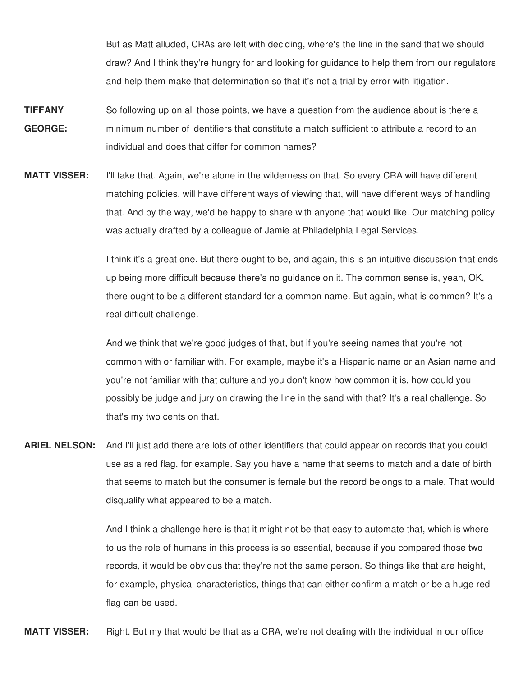But as Matt alluded, CRAs are left with deciding, where's the line in the sand that we should draw? And I think they're hungry for and looking for guidance to help them from our regulators and help them make that determination so that it's not a trial by error with litigation.

- **TIFFANY** So following up on all those points, we have a question from the audience about is there a **GEORGE:** minimum number of identifiers that constitute a match sufficient to attribute a record to an individual and does that differ for common names?
- **MATT VISSER:** I'll take that. Again, we're alone in the wilderness on that. So every CRA will have different matching policies, will have different ways of viewing that, will have different ways of handling that. And by the way, we'd be happy to share with anyone that would like. Our matching policy was actually drafted by a colleague of Jamie at Philadelphia Legal Services.

 I think it's a great one. But there ought to be, and again, this is an intuitive discussion that ends up being more difficult because there's no guidance on it. The common sense is, yeah, OK, there ought to be a different standard for a common name. But again, what is common? It's a real difficult challenge.

 And we think that we're good judges of that, but if you're seeing names that you're not common with or familiar with. For example, maybe it's a Hispanic name or an Asian name and you're not familiar with that culture and you don't know how common it is, how could you possibly be judge and jury on drawing the line in the sand with that? It's a real challenge. So that's my two cents on that.

 **ARIEL NELSON:** And I'll just add there are lots of other identifiers that could appear on records that you could use as a red flag, for example. Say you have a name that seems to match and a date of birth that seems to match but the consumer is female but the record belongs to a male. That would disqualify what appeared to be a match.

> And I think a challenge here is that it might not be that easy to automate that, which is where to us the role of humans in this process is so essential, because if you compared those two records, it would be obvious that they're not the same person. So things like that are height, for example, physical characteristics, things that can either confirm a match or be a huge red flag can be used.

**MATT VISSER:** Right. But my that would be that as a CRA, we're not dealing with the individual in our office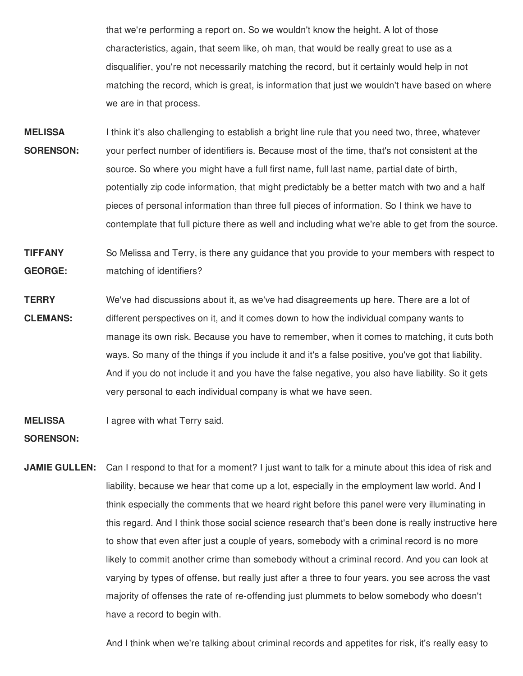that we're performing a report on. So we wouldn't know the height. A lot of those characteristics, again, that seem like, oh man, that would be really great to use as a disqualifier, you're not necessarily matching the record, but it certainly would help in not matching the record, which is great, is information that just we wouldn't have based on where we are in that process.

- **MELISSA** I think it's also challenging to establish a bright line rule that you need two, three, whatever **SORENSON:** your perfect number of identifiers is. Because most of the time, that's not consistent at the source. So where you might have a full first name, full last name, partial date of birth, potentially zip code information, that might predictably be a better match with two and a half pieces of personal information than three full pieces of information. So I think we have to contemplate that full picture there as well and including what we're able to get from the source.
- **TIFFANY** So Melissa and Terry, is there any guidance that you provide to your members with respect to **GEORGE:** matching of identifiers?
- **TERRY** We've had discussions about it, as we've had disagreements up here. There are a lot of **CLEMANS:** different perspectives on it, and it comes down to how the individual company wants to manage its own risk. Because you have to remember, when it comes to matching, it cuts both ways. So many of the things if you include it and it's a false positive, you've got that liability. And if you do not include it and you have the false negative, you also have liability. So it gets very personal to each individual company is what we have seen.
- **MELISSA** I agree with what Terry said.

**SORENSON:**

 **JAMIE GULLEN:** Can I respond to that for a moment? I just want to talk for a minute about this idea of risk and liability, because we hear that come up a lot, especially in the employment law world. And I think especially the comments that we heard right before this panel were very illuminating in this regard. And I think those social science research that's been done is really instructive here to show that even after just a couple of years, somebody with a criminal record is no more likely to commit another crime than somebody without a criminal record. And you can look at varying by types of offense, but really just after a three to four years, you see across the vast majority of offenses the rate of re-offending just plummets to below somebody who doesn't have a record to begin with.

And I think when we're talking about criminal records and appetites for risk, it's really easy to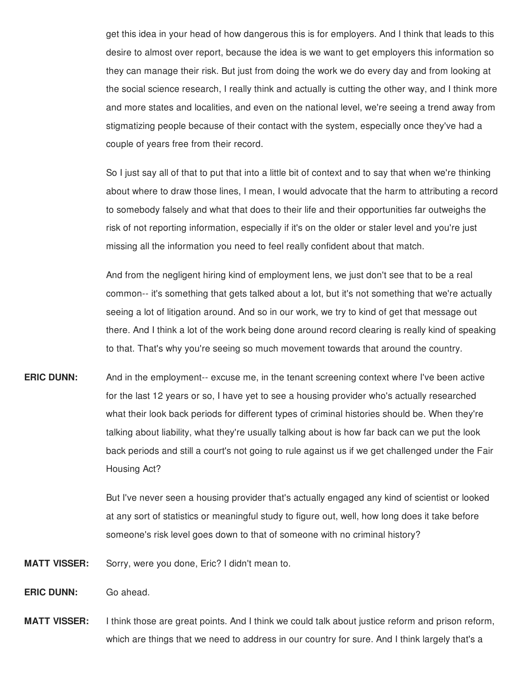get this idea in your head of how dangerous this is for employers. And I think that leads to this desire to almost over report, because the idea is we want to get employers this information so they can manage their risk. But just from doing the work we do every day and from looking at the social science research, I really think and actually is cutting the other way, and I think more and more states and localities, and even on the national level, we're seeing a trend away from stigmatizing people because of their contact with the system, especially once they've had a couple of years free from their record.

 So I just say all of that to put that into a little bit of context and to say that when we're thinking about where to draw those lines, I mean, I would advocate that the harm to attributing a record to somebody falsely and what that does to their life and their opportunities far outweighs the risk of not reporting information, especially if it's on the older or staler level and you're just missing all the information you need to feel really confident about that match.

 And from the negligent hiring kind of employment lens, we just don't see that to be a real common-- it's something that gets talked about a lot, but it's not something that we're actually seeing a lot of litigation around. And so in our work, we try to kind of get that message out there. And I think a lot of the work being done around record clearing is really kind of speaking to that. That's why you're seeing so much movement towards that around the country.

 And in the employment-- excuse me, in the tenant screening context where I've been active for the last 12 years or so, I have yet to see a housing provider who's actually researched what their look back periods for different types of criminal histories should be. When they're talking about liability, what they're usually talking about is how far back can we put the look back periods and still a court's not going to rule against us if we get challenged under the Fair **ERIC DUNN:** Housing Act?

> But I've never seen a housing provider that's actually engaged any kind of scientist or looked at any sort of statistics or meaningful study to figure out, well, how long does it take before someone's risk level goes down to that of someone with no criminal history?

 Sorry, were you done, Eric? I didn't mean to. **MATT VISSER:**

**ERIC DUNN:** Go ahead.

 I think those are great points. And I think we could talk about justice reform and prison reform, which are things that we need to address in our country for sure. And I think largely that's a**MATT VISSER:**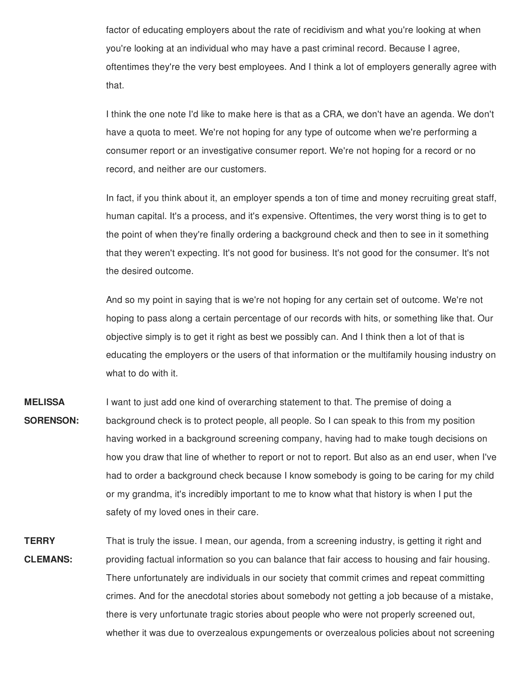factor of educating employers about the rate of recidivism and what you're looking at when you're looking at an individual who may have a past criminal record. Because I agree, oftentimes they're the very best employees. And I think a lot of employers generally agree with that.

 I think the one note I'd like to make here is that as a CRA, we don't have an agenda. We don't have a quota to meet. We're not hoping for any type of outcome when we're performing a consumer report or an investigative consumer report. We're not hoping for a record or no record, and neither are our customers.

 In fact, if you think about it, an employer spends a ton of time and money recruiting great staff, human capital. It's a process, and it's expensive. Oftentimes, the very worst thing is to get to the point of when they're finally ordering a background check and then to see in it something that they weren't expecting. It's not good for business. It's not good for the consumer. It's not the desired outcome.

 And so my point in saying that is we're not hoping for any certain set of outcome. We're not hoping to pass along a certain percentage of our records with hits, or something like that. Our objective simply is to get it right as best we possibly can. And I think then a lot of that is educating the employers or the users of that information or the multifamily housing industry on what to do with it.

- I want to just add one kind of overarching statement to that. The premise of doing a background check is to protect people, all people. So I can speak to this from my position having worked in a background screening company, having had to make tough decisions on how you draw that line of whether to report or not to report. But also as an end user, when I've had to order a background check because I know somebody is going to be caring for my child or my grandma, it's incredibly important to me to know what that history is when I put the safety of my loved ones in their care. **MELISSA SORENSON:**
- That is truly the issue. I mean, our agenda, from a screening industry, is getting it right and providing factual information so you can balance that fair access to housing and fair housing. There unfortunately are individuals in our society that commit crimes and repeat committing crimes. And for the anecdotal stories about somebody not getting a job because of a mistake, there is very unfortunate tragic stories about people who were not properly screened out, whether it was due to overzealous expungements or overzealous policies about not screening**TERRY CLEMANS:**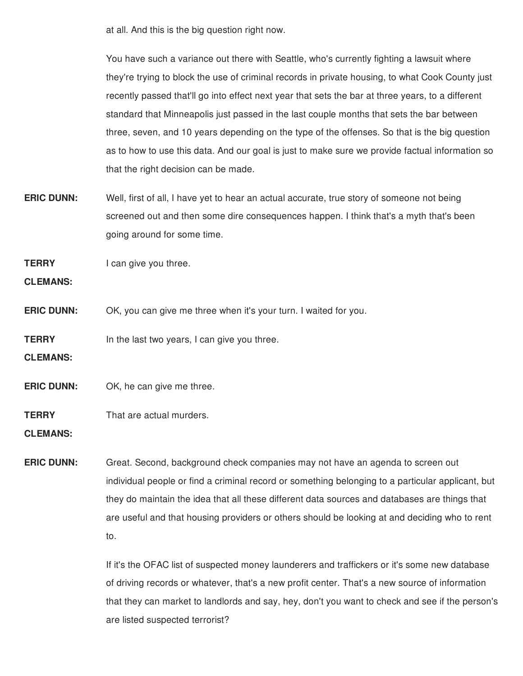at all. And this is the big question right now.

 You have such a variance out there with Seattle, who's currently fighting a lawsuit where they're trying to block the use of criminal records in private housing, to what Cook County just recently passed that'll go into effect next year that sets the bar at three years, to a different standard that Minneapolis just passed in the last couple months that sets the bar between three, seven, and 10 years depending on the type of the offenses. So that is the big question as to how to use this data. And our goal is just to make sure we provide factual information so that the right decision can be made.

 **ERIC DUNN:** Well, first of all, I have yet to hear an actual accurate, true story of someone not being screened out and then some dire consequences happen. I think that's a myth that's been going around for some time.

**TERRY** I can give you three.

**CLEMANS:**

- **ERIC DUNN:** OK, you can give me three when it's your turn. I waited for you.
- **TERRY** In the last two years, I can give you three.

**CLEMANS:**

**ERIC DUNN:** OK, he can give me three.

**TERRY** That are actual murders.

**CLEMANS:**

 **ERIC DUNN:** Great. Second, background check companies may not have an agenda to screen out individual people or find a criminal record or something belonging to a particular applicant, but they do maintain the idea that all these different data sources and databases are things that are useful and that housing providers or others should be looking at and deciding who to rent to.

> If it's the OFAC list of suspected money launderers and traffickers or it's some new database of driving records or whatever, that's a new profit center. That's a new source of information that they can market to landlords and say, hey, don't you want to check and see if the person's are listed suspected terrorist?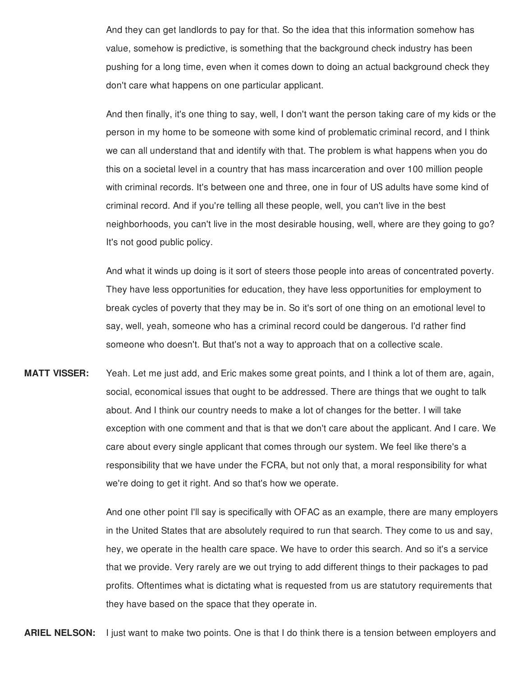And they can get landlords to pay for that. So the idea that this information somehow has value, somehow is predictive, is something that the background check industry has been pushing for a long time, even when it comes down to doing an actual background check they don't care what happens on one particular applicant.

 And then finally, it's one thing to say, well, I don't want the person taking care of my kids or the person in my home to be someone with some kind of problematic criminal record, and I think we can all understand that and identify with that. The problem is what happens when you do this on a societal level in a country that has mass incarceration and over 100 million people with criminal records. It's between one and three, one in four of US adults have some kind of criminal record. And if you're telling all these people, well, you can't live in the best neighborhoods, you can't live in the most desirable housing, well, where are they going to go? It's not good public policy.

 And what it winds up doing is it sort of steers those people into areas of concentrated poverty. They have less opportunities for education, they have less opportunities for employment to break cycles of poverty that they may be in. So it's sort of one thing on an emotional level to say, well, yeah, someone who has a criminal record could be dangerous. I'd rather find someone who doesn't. But that's not a way to approach that on a collective scale.

 **MATT VISSER:** Yeah. Let me just add, and Eric makes some great points, and I think a lot of them are, again, social, economical issues that ought to be addressed. There are things that we ought to talk about. And I think our country needs to make a lot of changes for the better. I will take exception with one comment and that is that we don't care about the applicant. And I care. We care about every single applicant that comes through our system. We feel like there's a responsibility that we have under the FCRA, but not only that, a moral responsibility for what we're doing to get it right. And so that's how we operate.

> And one other point I'll say is specifically with OFAC as an example, there are many employers in the United States that are absolutely required to run that search. They come to us and say, hey, we operate in the health care space. We have to order this search. And so it's a service that we provide. Very rarely are we out trying to add different things to their packages to pad profits. Oftentimes what is dictating what is requested from us are statutory requirements that they have based on the space that they operate in.

**ARIEL NELSON:** I just want to make two points. One is that I do think there is a tension between employers and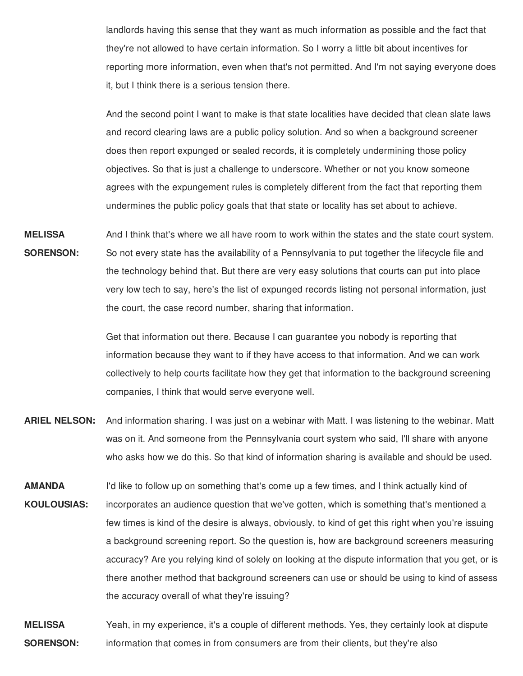landlords having this sense that they want as much information as possible and the fact that they're not allowed to have certain information. So I worry a little bit about incentives for reporting more information, even when that's not permitted. And I'm not saying everyone does it, but I think there is a serious tension there.

 And the second point I want to make is that state localities have decided that clean slate laws and record clearing laws are a public policy solution. And so when a background screener does then report expunged or sealed records, it is completely undermining those policy objectives. So that is just a challenge to underscore. Whether or not you know someone agrees with the expungement rules is completely different from the fact that reporting them undermines the public policy goals that that state or locality has set about to achieve.

 And I think that's where we all have room to work within the states and the state court system. So not every state has the availability of a Pennsylvania to put together the lifecycle file and the technology behind that. But there are very easy solutions that courts can put into place very low tech to say, here's the list of expunged records listing not personal information, just the court, the case record number, sharing that information. **MELISSA SORENSON:**

> Get that information out there. Because I can guarantee you nobody is reporting that information because they want to if they have access to that information. And we can work collectively to help courts facilitate how they get that information to the background screening companies, I think that would serve everyone well.

- ARIEL NELSON: And information sharing. I was just on a webinar with Matt. I was listening to the webinar. Matt was on it. And someone from the Pennsylvania court system who said, I'll share with anyone who asks how we do this. So that kind of information sharing is available and should be used.
- I'd like to follow up on something that's come up a few times, and I think actually kind of incorporates an audience question that we've gotten, which is something that's mentioned a few times is kind of the desire is always, obviously, to kind of get this right when you're issuing a background screening report. So the question is, how are background screeners measuring accuracy? Are you relying kind of solely on looking at the dispute information that you get, or is there another method that background screeners can use or should be using to kind of assess the accuracy overall of what they're issuing? **AMANDA KOULOUSIAS:**

 **MELISSA** Yeah, in my experience, it's a couple of different methods. Yes, they certainly look at dispute **SORENSON:** information that comes in from consumers are from their clients, but they're also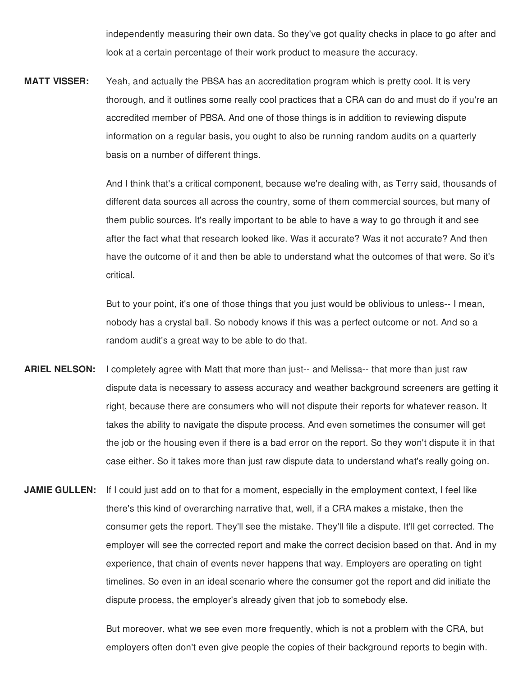independently measuring their own data. So they've got quality checks in place to go after and look at a certain percentage of their work product to measure the accuracy.

 **MATT VISSER:** Yeah, and actually the PBSA has an accreditation program which is pretty cool. It is very thorough, and it outlines some really cool practices that a CRA can do and must do if you're an accredited member of PBSA. And one of those things is in addition to reviewing dispute information on a regular basis, you ought to also be running random audits on a quarterly basis on a number of different things.

> And I think that's a critical component, because we're dealing with, as Terry said, thousands of different data sources all across the country, some of them commercial sources, but many of them public sources. It's really important to be able to have a way to go through it and see after the fact what that research looked like. Was it accurate? Was it not accurate? And then have the outcome of it and then be able to understand what the outcomes of that were. So it's critical.

 But to your point, it's one of those things that you just would be oblivious to unless-- I mean, nobody has a crystal ball. So nobody knows if this was a perfect outcome or not. And so a random audit's a great way to be able to do that.

- **ARIEL NELSON:** I completely agree with Matt that more than just-- and Melissa-- that more than just raw dispute data is necessary to assess accuracy and weather background screeners are getting it right, because there are consumers who will not dispute their reports for whatever reason. It takes the ability to navigate the dispute process. And even sometimes the consumer will get the job or the housing even if there is a bad error on the report. So they won't dispute it in that case either. So it takes more than just raw dispute data to understand what's really going on.
- **JAMIE GULLEN:** If I could just add on to that for a moment, especially in the employment context, I feel like there's this kind of overarching narrative that, well, if a CRA makes a mistake, then the consumer gets the report. They'll see the mistake. They'll file a dispute. It'll get corrected. The employer will see the corrected report and make the correct decision based on that. And in my experience, that chain of events never happens that way. Employers are operating on tight timelines. So even in an ideal scenario where the consumer got the report and did initiate the dispute process, the employer's already given that job to somebody else.

 But moreover, what we see even more frequently, which is not a problem with the CRA, but employers often don't even give people the copies of their background reports to begin with.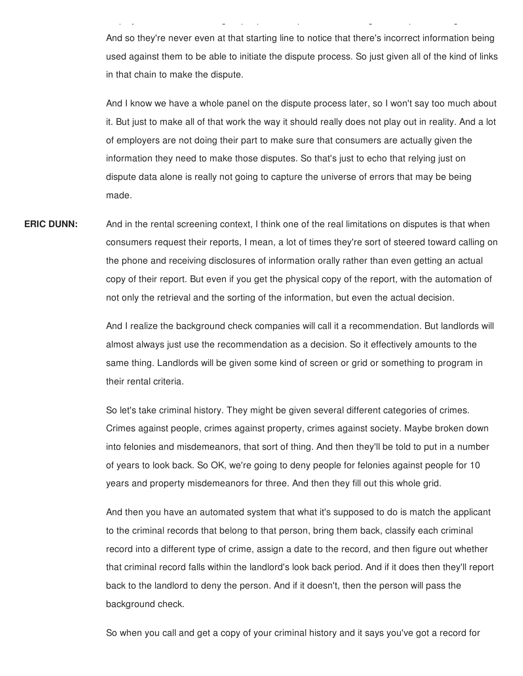And so they're never even at that starting line to notice that there's incorrect information being used against them to be able to initiate the dispute process. So just given all of the kind of links in that chain to make the dispute.

p y g p p p g p g

 And I know we have a whole panel on the dispute process later, so I won't say too much about it. But just to make all of that work the way it should really does not play out in reality. And a lot of employers are not doing their part to make sure that consumers are actually given the information they need to make those disputes. So that's just to echo that relying just on dispute data alone is really not going to capture the universe of errors that may be being made.

**ERIC DUNN:** And in the rental screening context, I think one of the real limitations on disputes is that when consumers request their reports, I mean, a lot of times they're sort of steered toward calling on the phone and receiving disclosures of information orally rather than even getting an actual copy of their report. But even if you get the physical copy of the report, with the automation of not only the retrieval and the sorting of the information, but even the actual decision.

> And I realize the background check companies will call it a recommendation. But landlords will almost always just use the recommendation as a decision. So it effectively amounts to the same thing. Landlords will be given some kind of screen or grid or something to program in their rental criteria.

 So let's take criminal history. They might be given several different categories of crimes. Crimes against people, crimes against property, crimes against society. Maybe broken down into felonies and misdemeanors, that sort of thing. And then they'll be told to put in a number of years to look back. So OK, we're going to deny people for felonies against people for 10 years and property misdemeanors for three. And then they fill out this whole grid.

 And then you have an automated system that what it's supposed to do is match the applicant to the criminal records that belong to that person, bring them back, classify each criminal record into a different type of crime, assign a date to the record, and then figure out whether that criminal record falls within the landlord's look back period. And if it does then they'll report back to the landlord to deny the person. And if it doesn't, then the person will pass the background check.

So when you call and get a copy of your criminal history and it says you've got a record for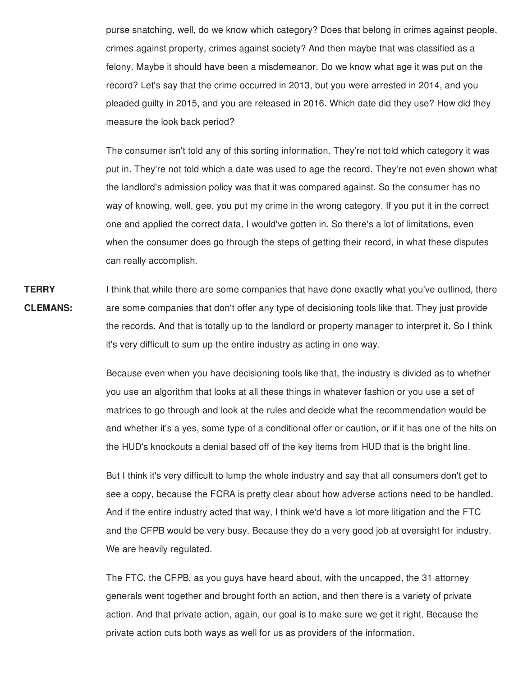purse snatching, well, do we know which category? Does that belong in crimes against people, crimes against property, crimes against society? And then maybe that was classified as a felony. Maybe it should have been a misdemeanor. Do we know what age it was put on the record? Let's say that the crime occurred in 2013, but you were arrested in 2014, and you pleaded guilty in 2015, and you are released in 2016. Which date did they use? How did they measure the look back period?

 The consumer isn't told any of this sorting information. They're not told which category it was put in. They're not told which a date was used to age the record. They're not even shown what the landlord's admission policy was that it was compared against. So the consumer has no way of knowing, well, gee, you put my crime in the wrong category. If you put it in the correct one and applied the correct data, I would've gotten in. So there's a lot of limitations, even when the consumer does go through the steps of getting their record, in what these disputes can really accomplish.

 I think that while there are some companies that have done exactly what you've outlined, there are some companies that don't offer any type of decisioning tools like that. They just provide the records. And that is totally up to the landlord or property manager to interpret it. So I think it's very difficult to sum up the entire industry as acting in one way. **TERRY CLEMANS:**

> Because even when you have decisioning tools like that, the industry is divided as to whether you use an algorithm that looks at all these things in whatever fashion or you use a set of matrices to go through and look at the rules and decide what the recommendation would be and whether it's a yes, some type of a conditional offer or caution, or if it has one of the hits on the HUD's knockouts a denial based off of the key items from HUD that is the bright line.

> But I think it's very difficult to lump the whole industry and say that all consumers don't get to see a copy, because the FCRA is pretty clear about how adverse actions need to be handled. And if the entire industry acted that way, I think we'd have a lot more litigation and the FTC and the CFPB would be very busy. Because they do a very good job at oversight for industry. We are heavily regulated.

 The FTC, the CFPB, as you guys have heard about, with the uncapped, the 31 attorney generals went together and brought forth an action, and then there is a variety of private action. And that private action, again, our goal is to make sure we get it right. Because the private action cuts both ways as well for us as providers of the information.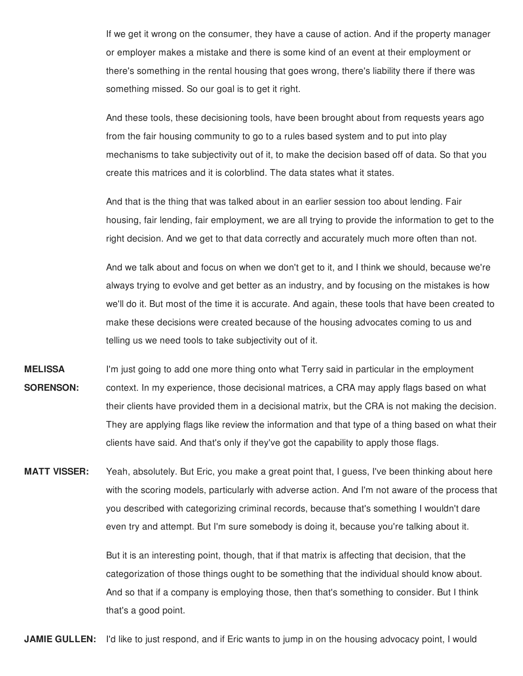If we get it wrong on the consumer, they have a cause of action. And if the property manager or employer makes a mistake and there is some kind of an event at their employment or there's something in the rental housing that goes wrong, there's liability there if there was something missed. So our goal is to get it right.

 And these tools, these decisioning tools, have been brought about from requests years ago from the fair housing community to go to a rules based system and to put into play mechanisms to take subjectivity out of it, to make the decision based off of data. So that you create this matrices and it is colorblind. The data states what it states.

 And that is the thing that was talked about in an earlier session too about lending. Fair housing, fair lending, fair employment, we are all trying to provide the information to get to the right decision. And we get to that data correctly and accurately much more often than not.

 And we talk about and focus on when we don't get to it, and I think we should, because we're always trying to evolve and get better as an industry, and by focusing on the mistakes is how we'll do it. But most of the time it is accurate. And again, these tools that have been created to make these decisions were created because of the housing advocates coming to us and telling us we need tools to take subjectivity out of it.

- **MELISSA** I'm just going to add one more thing onto what Terry said in particular in the employment **SORENSON:** context. In my experience, those decisional matrices, a CRA may apply flags based on what their clients have provided them in a decisional matrix, but the CRA is not making the decision. They are applying flags like review the information and that type of a thing based on what their clients have said. And that's only if they've got the capability to apply those flags.
- **MATT VISSER:** Yeah, absolutely. But Eric, you make a great point that, I guess, I've been thinking about here with the scoring models, particularly with adverse action. And I'm not aware of the process that you described with categorizing criminal records, because that's something I wouldn't dare even try and attempt. But I'm sure somebody is doing it, because you're talking about it.

 But it is an interesting point, though, that if that matrix is affecting that decision, that the categorization of those things ought to be something that the individual should know about. And so that if a company is employing those, then that's something to consider. But I think that's a good point.

**JAMIE GULLEN:** I'd like to just respond, and if Eric wants to jump in on the housing advocacy point, I would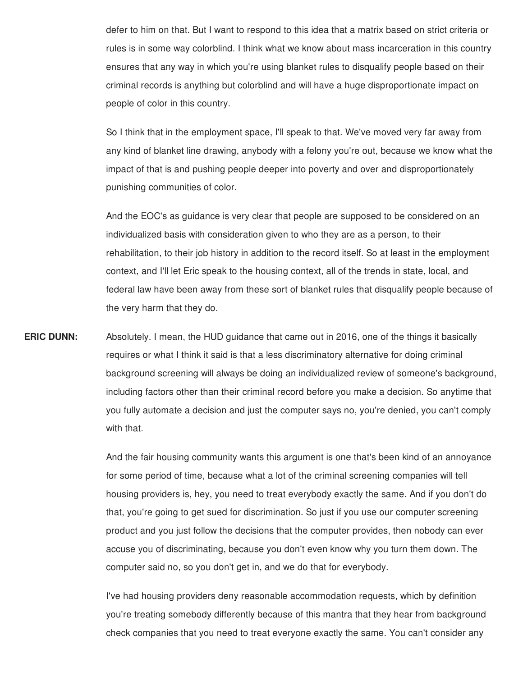defer to him on that. But I want to respond to this idea that a matrix based on strict criteria or rules is in some way colorblind. I think what we know about mass incarceration in this country ensures that any way in which you're using blanket rules to disqualify people based on their criminal records is anything but colorblind and will have a huge disproportionate impact on people of color in this country.

 So I think that in the employment space, I'll speak to that. We've moved very far away from any kind of blanket line drawing, anybody with a felony you're out, because we know what the impact of that is and pushing people deeper into poverty and over and disproportionately punishing communities of color.

 And the EOC's as guidance is very clear that people are supposed to be considered on an individualized basis with consideration given to who they are as a person, to their rehabilitation, to their job history in addition to the record itself. So at least in the employment context, and I'll let Eric speak to the housing context, all of the trends in state, local, and federal law have been away from these sort of blanket rules that disqualify people because of the very harm that they do.

 **ERIC DUNN:** Absolutely. I mean, the HUD guidance that came out in 2016, one of the things it basically requires or what I think it said is that a less discriminatory alternative for doing criminal background screening will always be doing an individualized review of someone's background, including factors other than their criminal record before you make a decision. So anytime that you fully automate a decision and just the computer says no, you're denied, you can't comply with that.

> And the fair housing community wants this argument is one that's been kind of an annoyance for some period of time, because what a lot of the criminal screening companies will tell housing providers is, hey, you need to treat everybody exactly the same. And if you don't do that, you're going to get sued for discrimination. So just if you use our computer screening product and you just follow the decisions that the computer provides, then nobody can ever accuse you of discriminating, because you don't even know why you turn them down. The computer said no, so you don't get in, and we do that for everybody.

 I've had housing providers deny reasonable accommodation requests, which by definition you're treating somebody differently because of this mantra that they hear from background check companies that you need to treat everyone exactly the same. You can't consider any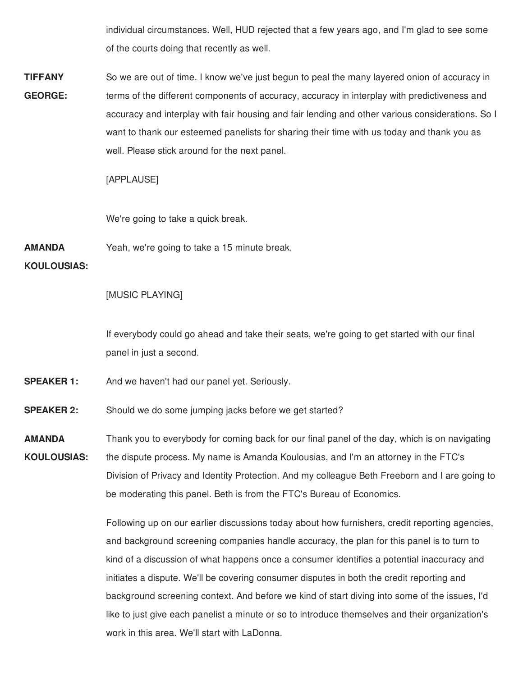individual circumstances. Well, HUD rejected that a few years ago, and I'm glad to see some of the courts doing that recently as well.

 So we are out of time. I know we've just begun to peal the many layered onion of accuracy in terms of the different components of accuracy, accuracy in interplay with predictiveness and accuracy and interplay with fair housing and fair lending and other various considerations. So I want to thank our esteemed panelists for sharing their time with us today and thank you as well. Please stick around for the next panel. **TIFFANY GEORGE:**

[APPLAUSE]

We're going to take a quick break.

 Yeah, we're going to take a 15 minute break. **AMANDA**

## **KOULOUSIAS:**

## [MUSIC PLAYING]

 If everybody could go ahead and take their seats, we're going to get started with our final panel in just a second.

- And we haven't had our panel yet. Seriously. **SPEAKER 1:**
- Should we do some jumping jacks before we get started? **SPEAKER 2:**
- Thank you to everybody for coming back for our final panel of the day, which is on navigating the dispute process. My name is Amanda Koulousias, and I'm an attorney in the FTC's Division of Privacy and Identity Protection. And my colleague Beth Freeborn and I are going to be moderating this panel. Beth is from the FTC's Bureau of Economics. **AMANDA KOULOUSIAS:**

 Following up on our earlier discussions today about how furnishers, credit reporting agencies, and background screening companies handle accuracy, the plan for this panel is to turn to kind of a discussion of what happens once a consumer identifies a potential inaccuracy and initiates a dispute. We'll be covering consumer disputes in both the credit reporting and background screening context. And before we kind of start diving into some of the issues, I'd like to just give each panelist a minute or so to introduce themselves and their organization's work in this area. We'll start with LaDonna.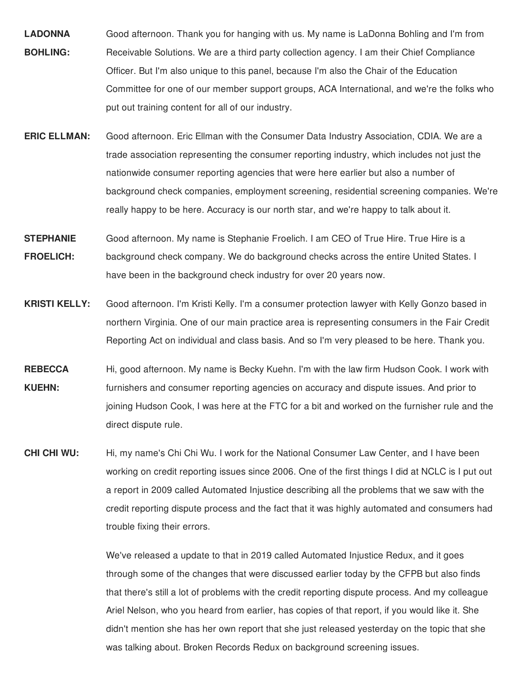- **LADONNA** Good afternoon. Thank you for hanging with us. My name is LaDonna Bohling and I'm from **BOHLING:** Receivable Solutions. We are a third party collection agency. I am their Chief Compliance Officer. But I'm also unique to this panel, because I'm also the Chair of the Education Committee for one of our member support groups, ACA International, and we're the folks who put out training content for all of our industry.
- **ERIC ELLMAN:** Good afternoon. Eric Ellman with the Consumer Data Industry Association, CDIA. We are a trade association representing the consumer reporting industry, which includes not just the nationwide consumer reporting agencies that were here earlier but also a number of background check companies, employment screening, residential screening companies. We're really happy to be here. Accuracy is our north star, and we're happy to talk about it.
- **STEPHANIE** Good afternoon. My name is Stephanie Froelich. I am CEO of True Hire. True Hire is a **FROELICH:** background check company. We do background checks across the entire United States. I have been in the background check industry for over 20 years now.
- **KRISTI KELLY:** Good afternoon. I'm Kristi Kelly. I'm a consumer protection lawyer with Kelly Gonzo based in northern Virginia. One of our main practice area is representing consumers in the Fair Credit Reporting Act on individual and class basis. And so I'm very pleased to be here. Thank you.
- **REBECCA** Hi, good afternoon. My name is Becky Kuehn. I'm with the law firm Hudson Cook. I work with **KUEHN:** furnishers and consumer reporting agencies on accuracy and dispute issues. And prior to joining Hudson Cook, I was here at the FTC for a bit and worked on the furnisher rule and the direct dispute rule.
- **CHI CHI WU:**  working on credit reporting issues since 2006. One of the first things I did at NCLC is I put out a report in 2009 called Automated Injustice describing all the problems that we saw with the credit reporting dispute process and the fact that it was highly automated and consumers had trouble fixing their errors. **CHI CHI WU:** Hi, my name's Chi Chi Wu. I work for the National Consumer Law Center, and I have been

 We've released a update to that in 2019 called Automated Injustice Redux, and it goes through some of the changes that were discussed earlier today by the CFPB but also finds that there's still a lot of problems with the credit reporting dispute process. And my colleague Ariel Nelson, who you heard from earlier, has copies of that report, if you would like it. She didn't mention she has her own report that she just released yesterday on the topic that she was talking about. Broken Records Redux on background screening issues.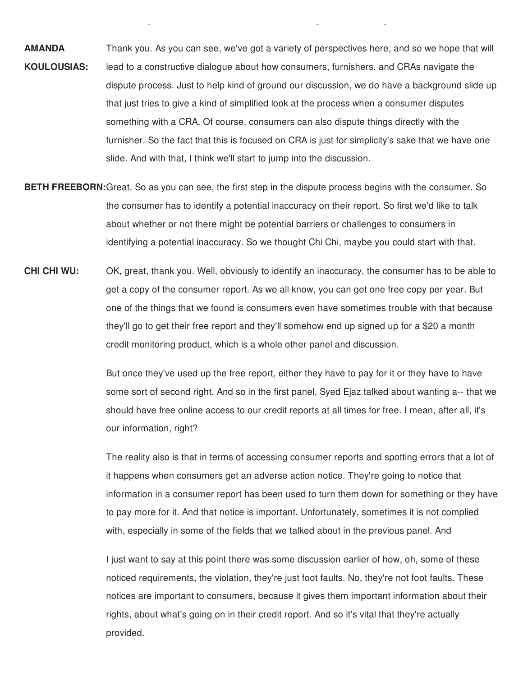Thank you. As you can see, we've got a variety of perspectives here, and so we hope that will lead to a constructive dialogue about how consumers, furnishers, and CRAs navigate the dispute process. Just to help kind of ground our discussion, we do have a background slide up that just tries to give a kind of simplified look at the process when a consumer disputes something with a CRA. Of course, consumers can also dispute things directly with the furnisher. So the fact that this is focused on CRA is just for simplicity's sake that we have one slide. And with that, I think we'll start to jump into the discussion. **AMANDA KOULOUSIAS:**

g g g

- **BETH FREEBORN:**Great. So as you can see, the first step in the dispute process begins with the consumer. So the consumer has to identify a potential inaccuracy on their report. So first we'd like to talk about whether or not there might be potential barriers or challenges to consumers in identifying a potential inaccuracy. So we thought Chi Chi, maybe you could start with that.
- **CHI CHI WU:** get a copy of the consumer report. As we all know, you can get one free copy per year. But one of the things that we found is consumers even have sometimes trouble with that because they'll go to get their free report and they'll somehow end up signed up for a \$20 a month credit monitoring product, which is a whole other panel and discussion. OK, great, thank you. Well, obviously to identify an inaccuracy, the consumer has to be able to

 But once they've used up the free report, either they have to pay for it or they have to have some sort of second right. And so in the first panel, Syed Ejaz talked about wanting a-- that we should have free online access to our credit reports at all times for free. I mean, after all, it's our information, right?

 The reality also is that in terms of accessing consumer reports and spotting errors that a lot of it happens when consumers get an adverse action notice. They're going to notice that information in a consumer report has been used to turn them down for something or they have to pay more for it. And that notice is important. Unfortunately, sometimes it is not complied with, especially in some of the fields that we talked about in the previous panel. And

 I just want to say at this point there was some discussion earlier of how, oh, some of these noticed requirements, the violation, they're just foot faults. No, they're not foot faults. These notices are important to consumers, because it gives them important information about their rights, about what's going on in their credit report. And so it's vital that they're actually provided.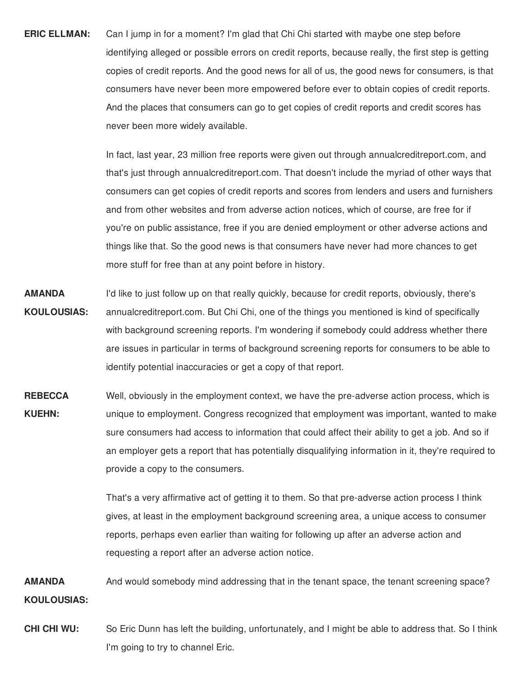**ERIC ELLMAN:** Can I jump in for a moment? I'm glad that Chi Chi started with maybe one step before identifying alleged or possible errors on credit reports, because really, the first step is getting copies of credit reports. And the good news for all of us, the good news for consumers, is that consumers have never been more empowered before ever to obtain copies of credit reports. And the places that consumers can go to get copies of credit reports and credit scores has never been more widely available.

> In fact, last year, 23 million free reports were given out through annualcreditreport.com, and that's just through annualcreditreport.com. That doesn't include the myriad of other ways that consumers can get copies of credit reports and scores from lenders and users and furnishers and from other websites and from adverse action notices, which of course, are free for if you're on public assistance, free if you are denied employment or other adverse actions and things like that. So the good news is that consumers have never had more chances to get more stuff for free than at any point before in history.

- **AMANDA** I'd like to just follow up on that really quickly, because for credit reports, obviously, there's **KOULOUSIAS:** annualcreditreport.com. But Chi Chi, one of the things you mentioned is kind of specifically with background screening reports. I'm wondering if somebody could address whether there are issues in particular in terms of background screening reports for consumers to be able to identify potential inaccuracies or get a copy of that report.
- **REBECCA** Well, obviously in the employment context, we have the pre-adverse action process, which is **KUEHN:** unique to employment. Congress recognized that employment was important, wanted to make sure consumers had access to information that could affect their ability to get a job. And so if an employer gets a report that has potentially disqualifying information in it, they're required to provide a copy to the consumers.

 That's a very affirmative act of getting it to them. So that pre-adverse action process I think gives, at least in the employment background screening area, a unique access to consumer reports, perhaps even earlier than waiting for following up after an adverse action and requesting a report after an adverse action notice.

 **AMANDA** And would somebody mind addressing that in the tenant space, the tenant screening space? **KOULOUSIAS:**

**CHI CHI WU:**  I'm going to try to channel Eric.So Eric Dunn has left the building, unfortunately, and I might be able to address that. So I think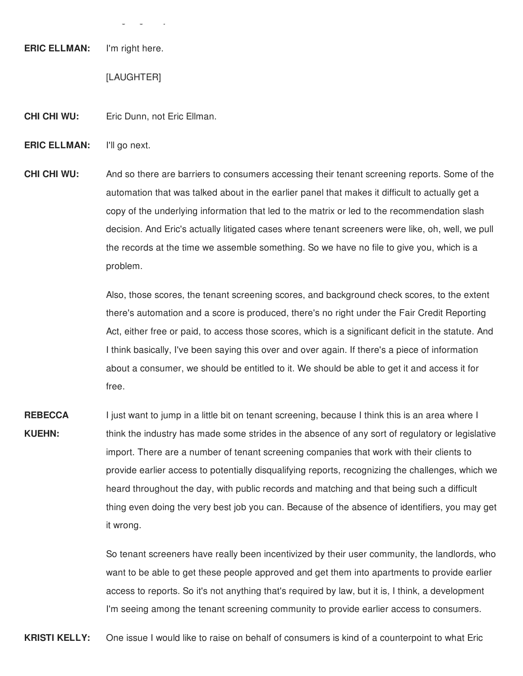**ERIC ELLMAN:** I'm right here.

[LAUGHTER]

 $\overline{z}$   $\overline{z}$   $\overline{z}$ 

**CHI CHI WU: Eric Dunn, not Eric Ellman.** 

I'll go next. **ERIC ELLMAN:** 

**CHI CHI WU:**  automation that was talked about in the earlier panel that makes it difficult to actually get a copy of the underlying information that led to the matrix or led to the recommendation slash decision. And Eric's actually litigated cases where tenant screeners were like, oh, well, we pull the records at the time we assemble something. So we have no file to give you, which is a And so there are barriers to consumers accessing their tenant screening reports. Some of the problem.

> Also, those scores, the tenant screening scores, and background check scores, to the extent there's automation and a score is produced, there's no right under the Fair Credit Reporting Act, either free or paid, to access those scores, which is a significant deficit in the statute. And I think basically, I've been saying this over and over again. If there's a piece of information about a consumer, we should be entitled to it. We should be able to get it and access it for free.

 I just want to jump in a little bit on tenant screening, because I think this is an area where I think the industry has made some strides in the absence of any sort of regulatory or legislative import. There are a number of tenant screening companies that work with their clients to provide earlier access to potentially disqualifying reports, recognizing the challenges, which we heard throughout the day, with public records and matching and that being such a difficult thing even doing the very best job you can. Because of the absence of identifiers, you may get **REBECCA KUEHN:** it wrong.

> So tenant screeners have really been incentivized by their user community, the landlords, who want to be able to get these people approved and get them into apartments to provide earlier access to reports. So it's not anything that's required by law, but it is, I think, a development I'm seeing among the tenant screening community to provide earlier access to consumers.

**KRISTI KELLY:** One issue I would like to raise on behalf of consumers is kind of a counterpoint to what Eric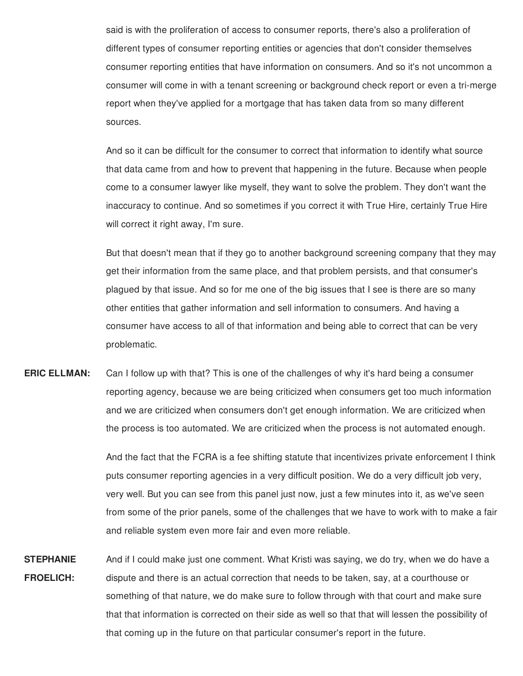said is with the proliferation of access to consumer reports, there's also a proliferation of different types of consumer reporting entities or agencies that don't consider themselves consumer reporting entities that have information on consumers. And so it's not uncommon a consumer will come in with a tenant screening or background check report or even a tri-merge report when they've applied for a mortgage that has taken data from so many different sources.

 And so it can be difficult for the consumer to correct that information to identify what source that data came from and how to prevent that happening in the future. Because when people come to a consumer lawyer like myself, they want to solve the problem. They don't want the inaccuracy to continue. And so sometimes if you correct it with True Hire, certainly True Hire will correct it right away, I'm sure.

 But that doesn't mean that if they go to another background screening company that they may get their information from the same place, and that problem persists, and that consumer's plagued by that issue. And so for me one of the big issues that I see is there are so many other entities that gather information and sell information to consumers. And having a consumer have access to all of that information and being able to correct that can be very problematic.

 Can I follow up with that? This is one of the challenges of why it's hard being a consumer reporting agency, because we are being criticized when consumers get too much information and we are criticized when consumers don't get enough information. We are criticized when the process is too automated. We are criticized when the process is not automated enough. **ERIC ELLMAN:**

> And the fact that the FCRA is a fee shifting statute that incentivizes private enforcement I think puts consumer reporting agencies in a very difficult position. We do a very difficult job very, very well. But you can see from this panel just now, just a few minutes into it, as we've seen from some of the prior panels, some of the challenges that we have to work with to make a fair and reliable system even more fair and even more reliable.

 And if I could make just one comment. What Kristi was saying, we do try, when we do have a dispute and there is an actual correction that needs to be taken, say, at a courthouse or something of that nature, we do make sure to follow through with that court and make sure that that information is corrected on their side as well so that that will lessen the possibility of that coming up in the future on that particular consumer's report in the future.**STEPHANIE FROELICH:**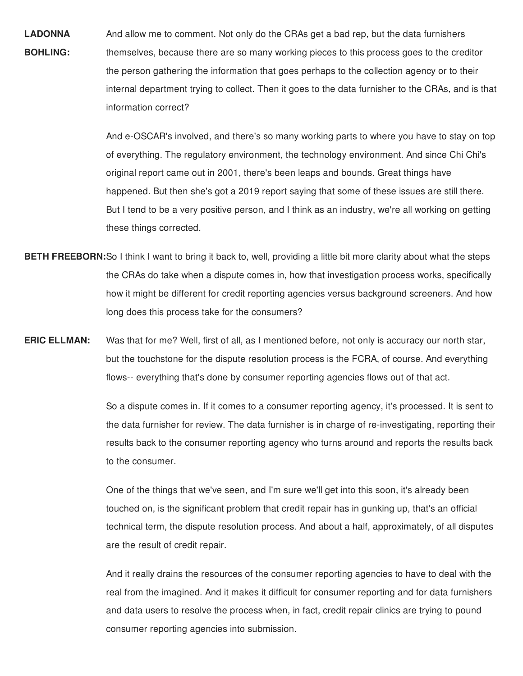And allow me to comment. Not only do the CRAs get a bad rep, but the data furnishers themselves, because there are so many working pieces to this process goes to the creditor the person gathering the information that goes perhaps to the collection agency or to their internal department trying to collect. Then it goes to the data furnisher to the CRAs, and is that **LADONNA BOHLING:** information correct?

> And e-OSCAR's involved, and there's so many working parts to where you have to stay on top of everything. The regulatory environment, the technology environment. And since Chi Chi's original report came out in 2001, there's been leaps and bounds. Great things have happened. But then she's got a 2019 report saying that some of these issues are still there. But I tend to be a very positive person, and I think as an industry, we're all working on getting these things corrected.

- **BETH FREEBORN:**So I think I want to bring it back to, well, providing a little bit more clarity about what the steps the CRAs do take when a dispute comes in, how that investigation process works, specifically how it might be different for credit reporting agencies versus background screeners. And how long does this process take for the consumers?
- Was that for me? Well, first of all, as I mentioned before, not only is accuracy our north star, but the touchstone for the dispute resolution process is the FCRA, of course. And everything flows-- everything that's done by consumer reporting agencies flows out of that act. **ERIC ELLMAN:**

 So a dispute comes in. If it comes to a consumer reporting agency, it's processed. It is sent to the data furnisher for review. The data furnisher is in charge of re-investigating, reporting their results back to the consumer reporting agency who turns around and reports the results back to the consumer.

 One of the things that we've seen, and I'm sure we'll get into this soon, it's already been touched on, is the significant problem that credit repair has in gunking up, that's an official technical term, the dispute resolution process. And about a half, approximately, of all disputes are the result of credit repair.

 And it really drains the resources of the consumer reporting agencies to have to deal with the real from the imagined. And it makes it difficult for consumer reporting and for data furnishers and data users to resolve the process when, in fact, credit repair clinics are trying to pound consumer reporting agencies into submission.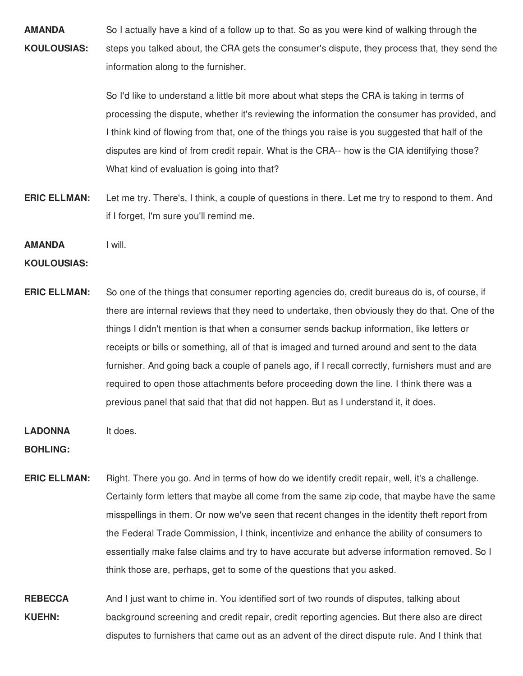**AMANDA** So I actually have a kind of a follow up to that. So as you were kind of walking through the **KOULOUSIAS:** steps you talked about, the CRA gets the consumer's dispute, they process that, they send the information along to the furnisher.

> So I'd like to understand a little bit more about what steps the CRA is taking in terms of processing the dispute, whether it's reviewing the information the consumer has provided, and I think kind of flowing from that, one of the things you raise is you suggested that half of the disputes are kind of from credit repair. What is the CRA-- how is the CIA identifying those? What kind of evaluation is going into that?

- **ERIC ELLMAN:** Let me try. There's, I think, a couple of questions in there. Let me try to respond to them. And if I forget, I'm sure you'll remind me.
- **AMANDA** I will.

#### **KOULOUSIAS:**

**ERIC ELLMAN:** So one of the things that consumer reporting agencies do, credit bureaus do is, of course, if there are internal reviews that they need to undertake, then obviously they do that. One of the things I didn't mention is that when a consumer sends backup information, like letters or receipts or bills or something, all of that is imaged and turned around and sent to the data furnisher. And going back a couple of panels ago, if I recall correctly, furnishers must and are required to open those attachments before proceeding down the line. I think there was a previous panel that said that that did not happen. But as I understand it, it does.

#### **LADONNA** It does.

**BOHLING:**

**ERIC ELLMAN:** Right. There you go. And in terms of how do we identify credit repair, well, it's a challenge. Certainly form letters that maybe all come from the same zip code, that maybe have the same misspellings in them. Or now we've seen that recent changes in the identity theft report from the Federal Trade Commission, I think, incentivize and enhance the ability of consumers to essentially make false claims and try to have accurate but adverse information removed. So I think those are, perhaps, get to some of the questions that you asked.

 **REBECCA** And I just want to chime in. You identified sort of two rounds of disputes, talking about **KUEHN:** background screening and credit repair, credit reporting agencies. But there also are direct disputes to furnishers that came out as an advent of the direct dispute rule. And I think that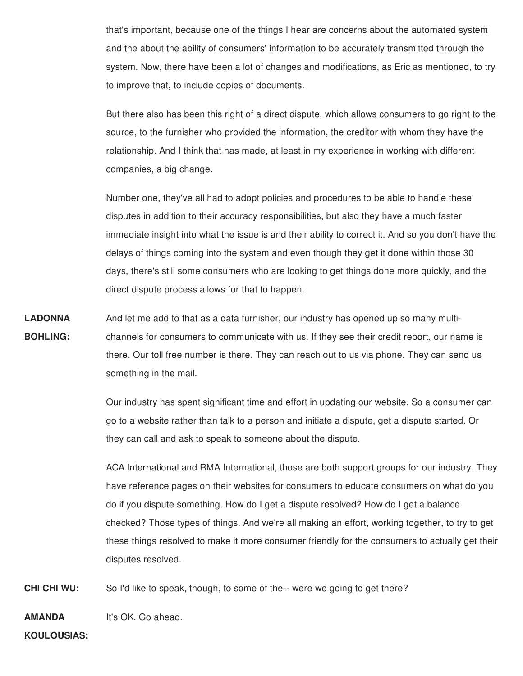that's important, because one of the things I hear are concerns about the automated system and the about the ability of consumers' information to be accurately transmitted through the system. Now, there have been a lot of changes and modifications, as Eric as mentioned, to try to improve that, to include copies of documents.

 But there also has been this right of a direct dispute, which allows consumers to go right to the source, to the furnisher who provided the information, the creditor with whom they have the relationship. And I think that has made, at least in my experience in working with different companies, a big change.

 Number one, they've all had to adopt policies and procedures to be able to handle these disputes in addition to their accuracy responsibilities, but also they have a much faster immediate insight into what the issue is and their ability to correct it. And so you don't have the delays of things coming into the system and even though they get it done within those 30 days, there's still some consumers who are looking to get things done more quickly, and the direct dispute process allows for that to happen.

 And let me add to that as a data furnisher, our industry has opened up so many multi- channels for consumers to communicate with us. If they see their credit report, our name is there. Our toll free number is there. They can reach out to us via phone. They can send us something in the mail. **LADONNA BOHLING:**

> Our industry has spent significant time and effort in updating our website. So a consumer can go to a website rather than talk to a person and initiate a dispute, get a dispute started. Or they can call and ask to speak to someone about the dispute.

 ACA International and RMA International, those are both support groups for our industry. They have reference pages on their websites for consumers to educate consumers on what do you do if you dispute something. How do I get a dispute resolved? How do I get a balance checked? Those types of things. And we're all making an effort, working together, to try to get these things resolved to make it more consumer friendly for the consumers to actually get their disputes resolved.

 **CHI CHI WU:** So I'd like to speak, though, to some of the-- were we going to get there?

 It's OK. Go ahead.**AMANDA**

**KOULOUSIAS:**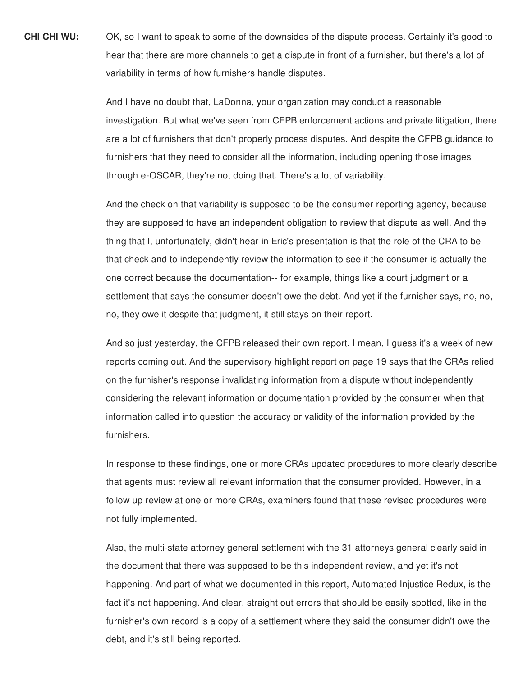**CHI CHI WU:**  hear that there are more channels to get a dispute in front of a furnisher, but there's a lot of variability in terms of how furnishers handle disputes. **CHI CHI WU:** OK, so I want to speak to some of the downsides of the dispute process. Certainly it's good to

> And I have no doubt that, LaDonna, your organization may conduct a reasonable investigation. But what we've seen from CFPB enforcement actions and private litigation, there are a lot of furnishers that don't properly process disputes. And despite the CFPB guidance to furnishers that they need to consider all the information, including opening those images through e-OSCAR, they're not doing that. There's a lot of variability.

 And the check on that variability is supposed to be the consumer reporting agency, because they are supposed to have an independent obligation to review that dispute as well. And the thing that I, unfortunately, didn't hear in Eric's presentation is that the role of the CRA to be that check and to independently review the information to see if the consumer is actually the one correct because the documentation-- for example, things like a court judgment or a settlement that says the consumer doesn't owe the debt. And yet if the furnisher says, no, no, no, they owe it despite that judgment, it still stays on their report.

 And so just yesterday, the CFPB released their own report. I mean, I guess it's a week of new reports coming out. And the supervisory highlight report on page 19 says that the CRAs relied on the furnisher's response invalidating information from a dispute without independently considering the relevant information or documentation provided by the consumer when that information called into question the accuracy or validity of the information provided by the furnishers.

 In response to these findings, one or more CRAs updated procedures to more clearly describe that agents must review all relevant information that the consumer provided. However, in a follow up review at one or more CRAs, examiners found that these revised procedures were not fully implemented.

 Also, the multi-state attorney general settlement with the 31 attorneys general clearly said in the document that there was supposed to be this independent review, and yet it's not happening. And part of what we documented in this report, Automated Injustice Redux, is the fact it's not happening. And clear, straight out errors that should be easily spotted, like in the furnisher's own record is a copy of a settlement where they said the consumer didn't owe the debt, and it's still being reported.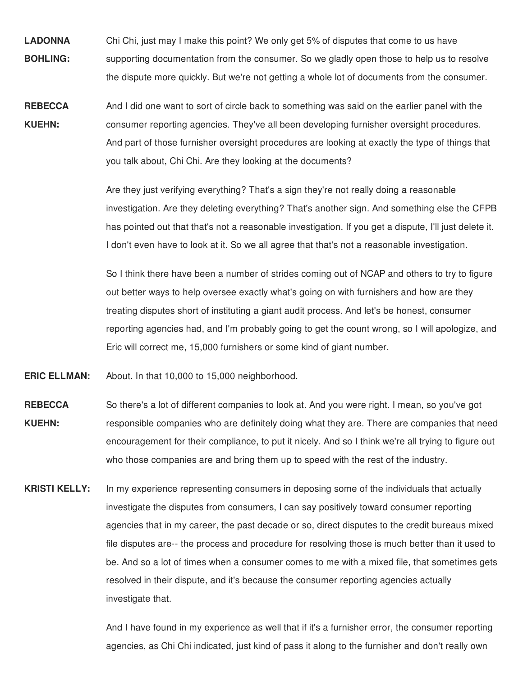- **LADONNA** Chi Chi, just may I make this point? We only get 5% of disputes that come to us have **BOHLING:** supporting documentation from the consumer. So we gladly open those to help us to resolve the dispute more quickly. But we're not getting a whole lot of documents from the consumer.
- **REBECCA** And I did one want to sort of circle back to something was said on the earlier panel with the **KUEHN:** consumer reporting agencies. They've all been developing furnisher oversight procedures. And part of those furnisher oversight procedures are looking at exactly the type of things that you talk about, Chi Chi. Are they looking at the documents?

 Are they just verifying everything? That's a sign they're not really doing a reasonable investigation. Are they deleting everything? That's another sign. And something else the CFPB has pointed out that that's not a reasonable investigation. If you get a dispute, I'll just delete it. I don't even have to look at it. So we all agree that that's not a reasonable investigation.

 So I think there have been a number of strides coming out of NCAP and others to try to figure out better ways to help oversee exactly what's going on with furnishers and how are they treating disputes short of instituting a giant audit process. And let's be honest, consumer reporting agencies had, and I'm probably going to get the count wrong, so I will apologize, and Eric will correct me, 15,000 furnishers or some kind of giant number.

**ERIC ELLMAN:** About. In that 10,000 to 15,000 neighborhood.

- **REBECCA** So there's a lot of different companies to look at. And you were right. I mean, so you've got **KUEHN:** responsible companies who are definitely doing what they are. There are companies that need encouragement for their compliance, to put it nicely. And so I think we're all trying to figure out who those companies are and bring them up to speed with the rest of the industry.
- **KRISTI KELLY:** In my experience representing consumers in deposing some of the individuals that actually investigate the disputes from consumers, I can say positively toward consumer reporting agencies that in my career, the past decade or so, direct disputes to the credit bureaus mixed file disputes are-- the process and procedure for resolving those is much better than it used to be. And so a lot of times when a consumer comes to me with a mixed file, that sometimes gets resolved in their dispute, and it's because the consumer reporting agencies actually investigate that.

 And I have found in my experience as well that if it's a furnisher error, the consumer reporting agencies, as Chi Chi indicated, just kind of pass it along to the furnisher and don't really own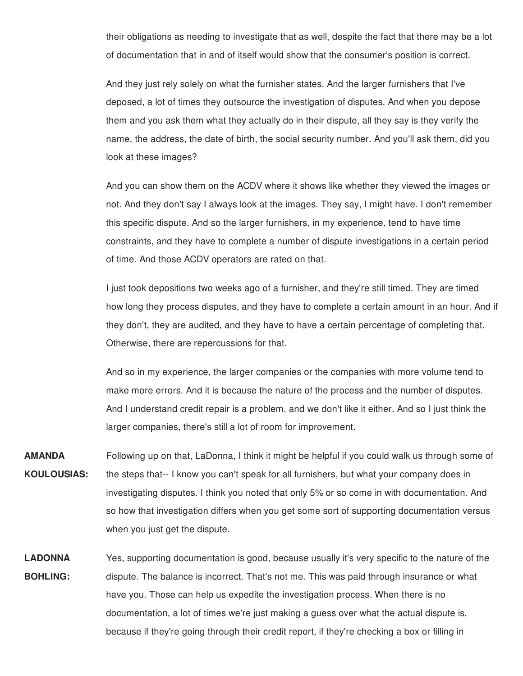their obligations as needing to investigate that as well, despite the fact that there may be a lot of documentation that in and of itself would show that the consumer's position is correct.

 And they just rely solely on what the furnisher states. And the larger furnishers that I've deposed, a lot of times they outsource the investigation of disputes. And when you depose them and you ask them what they actually do in their dispute, all they say is they verify the name, the address, the date of birth, the social security number. And you'll ask them, did you look at these images?

 And you can show them on the ACDV where it shows like whether they viewed the images or not. And they don't say I always look at the images. They say, I might have. I don't remember this specific dispute. And so the larger furnishers, in my experience, tend to have time constraints, and they have to complete a number of dispute investigations in a certain period of time. And those ACDV operators are rated on that.

 I just took depositions two weeks ago of a furnisher, and they're still timed. They are timed how long they process disputes, and they have to complete a certain amount in an hour. And if they don't, they are audited, and they have to have a certain percentage of completing that. Otherwise, there are repercussions for that.

 And so in my experience, the larger companies or the companies with more volume tend to make more errors. And it is because the nature of the process and the number of disputes. And I understand credit repair is a problem, and we don't like it either. And so I just think the larger companies, there's still a lot of room for improvement.

- Following up on that, LaDonna, I think it might be helpful if you could walk us through some of the steps that-- I know you can't speak for all furnishers, but what your company does in investigating disputes. I think you noted that only 5% or so come in with documentation. And so how that investigation differs when you get some sort of supporting documentation versus when you just get the dispute. **AMANDA KOULOUSIAS:**
- Yes, supporting documentation is good, because usually it's very specific to the nature of the dispute. The balance is incorrect. That's not me. This was paid through insurance or what have you. Those can help us expedite the investigation process. When there is no documentation, a lot of times we're just making a guess over what the actual dispute is, because if they're going through their credit report, if they're checking a box or filling in**LADONNA BOHLING:**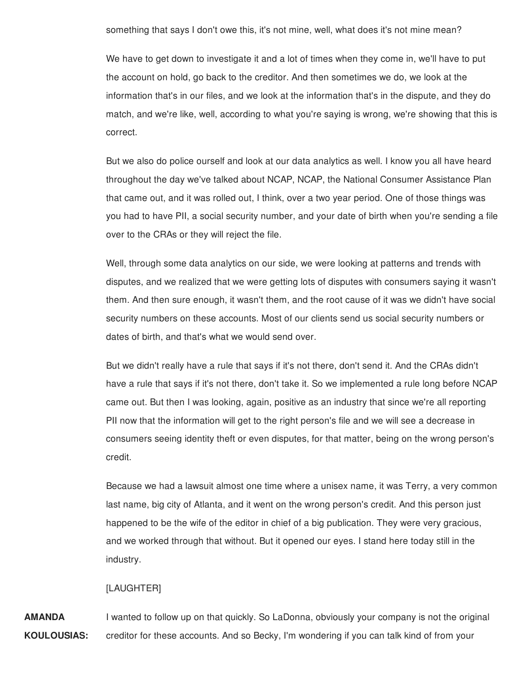something that says I don't owe this, it's not mine, well, what does it's not mine mean?

 We have to get down to investigate it and a lot of times when they come in, we'll have to put the account on hold, go back to the creditor. And then sometimes we do, we look at the information that's in our files, and we look at the information that's in the dispute, and they do match, and we're like, well, according to what you're saying is wrong, we're showing that this is correct.

 But we also do police ourself and look at our data analytics as well. I know you all have heard throughout the day we've talked about NCAP, NCAP, the National Consumer Assistance Plan that came out, and it was rolled out, I think, over a two year period. One of those things was you had to have PII, a social security number, and your date of birth when you're sending a file over to the CRAs or they will reject the file.

 Well, through some data analytics on our side, we were looking at patterns and trends with disputes, and we realized that we were getting lots of disputes with consumers saying it wasn't them. And then sure enough, it wasn't them, and the root cause of it was we didn't have social security numbers on these accounts. Most of our clients send us social security numbers or dates of birth, and that's what we would send over.

 But we didn't really have a rule that says if it's not there, don't send it. And the CRAs didn't have a rule that says if it's not there, don't take it. So we implemented a rule long before NCAP came out. But then I was looking, again, positive as an industry that since we're all reporting PII now that the information will get to the right person's file and we will see a decrease in consumers seeing identity theft or even disputes, for that matter, being on the wrong person's credit.

 Because we had a lawsuit almost one time where a unisex name, it was Terry, a very common last name, big city of Atlanta, and it went on the wrong person's credit. And this person just happened to be the wife of the editor in chief of a big publication. They were very gracious, and we worked through that without. But it opened our eyes. I stand here today still in the industry.

## [LAUGHTER]

 I wanted to follow up on that quickly. So LaDonna, obviously your company is not the original creditor for these accounts. And so Becky, I'm wondering if you can talk kind of from your**AMANDA KOULOUSIAS:**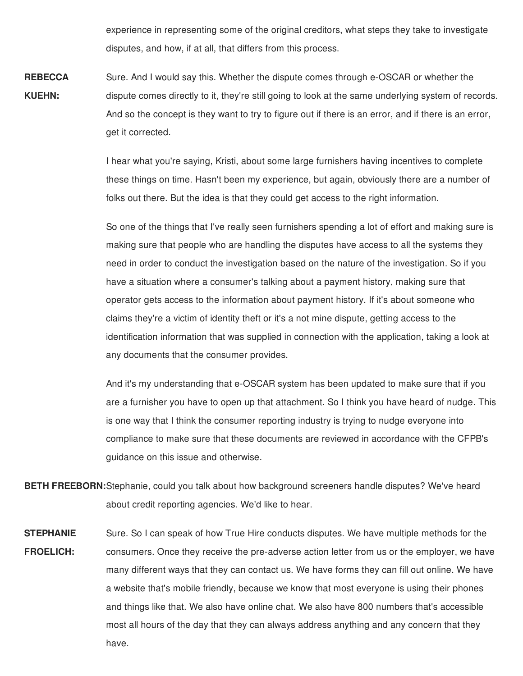experience in representing some of the original creditors, what steps they take to investigate disputes, and how, if at all, that differs from this process.

 Sure. And I would say this. Whether the dispute comes through e-OSCAR or whether the dispute comes directly to it, they're still going to look at the same underlying system of records. And so the concept is they want to try to figure out if there is an error, and if there is an error, get it corrected. **REBECCA KUEHN:**

> I hear what you're saying, Kristi, about some large furnishers having incentives to complete these things on time. Hasn't been my experience, but again, obviously there are a number of folks out there. But the idea is that they could get access to the right information.

> So one of the things that I've really seen furnishers spending a lot of effort and making sure is making sure that people who are handling the disputes have access to all the systems they need in order to conduct the investigation based on the nature of the investigation. So if you have a situation where a consumer's talking about a payment history, making sure that operator gets access to the information about payment history. If it's about someone who claims they're a victim of identity theft or it's a not mine dispute, getting access to the identification information that was supplied in connection with the application, taking a look at any documents that the consumer provides.

> And it's my understanding that e-OSCAR system has been updated to make sure that if you are a furnisher you have to open up that attachment. So I think you have heard of nudge. This is one way that I think the consumer reporting industry is trying to nudge everyone into compliance to make sure that these documents are reviewed in accordance with the CFPB's guidance on this issue and otherwise.

 **BETH FREEBORN:**Stephanie, could you talk about how background screeners handle disputes? We've heard about credit reporting agencies. We'd like to hear.

 Sure. So I can speak of how True Hire conducts disputes. We have multiple methods for the consumers. Once they receive the pre-adverse action letter from us or the employer, we have many different ways that they can contact us. We have forms they can fill out online. We have a website that's mobile friendly, because we know that most everyone is using their phones and things like that. We also have online chat. We also have 800 numbers that's accessible most all hours of the day that they can always address anything and any concern that they **STEPHANIE FROELICH:** have.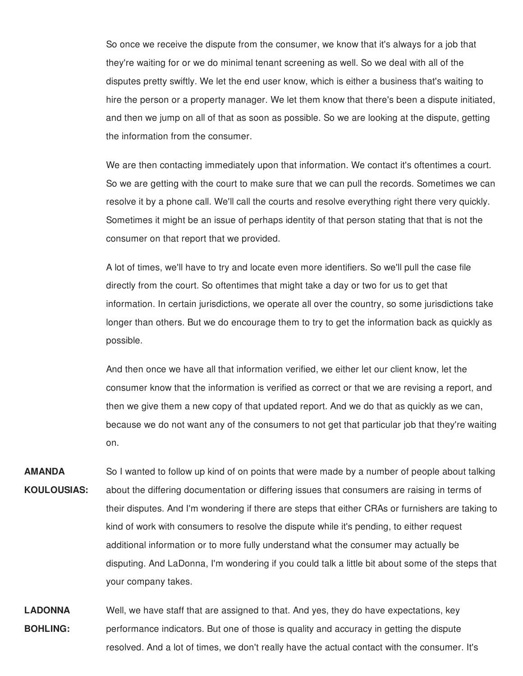So once we receive the dispute from the consumer, we know that it's always for a job that they're waiting for or we do minimal tenant screening as well. So we deal with all of the disputes pretty swiftly. We let the end user know, which is either a business that's waiting to hire the person or a property manager. We let them know that there's been a dispute initiated, and then we jump on all of that as soon as possible. So we are looking at the dispute, getting the information from the consumer.

We are then contacting immediately upon that information. We contact it's oftentimes a court. So we are getting with the court to make sure that we can pull the records. Sometimes we can resolve it by a phone call. We'll call the courts and resolve everything right there very quickly. Sometimes it might be an issue of perhaps identity of that person stating that that is not the consumer on that report that we provided.

A lot of times, we'll have to try and locate even more identifiers. So we'll pull the case file directly from the court. So oftentimes that might take a day or two for us to get that information. In certain jurisdictions, we operate all over the country, so some jurisdictions take longer than others. But we do encourage them to try to get the information back as quickly as possible.

And then once we have all that information verified, we either let our client know, let the consumer know that the information is verified as correct or that we are revising a report, and then we give them a new copy of that updated report. And we do that as quickly as we can, because we do not want any of the consumers to not get that particular job that they're waiting on.

**AMANDA KOULOUSIAS:** So I wanted to follow up kind of on points that were made by a number of people about talking about the differing documentation or differing issues that consumers are raising in terms of their disputes. And I'm wondering if there are steps that either CRAs or furnishers are taking to kind of work with consumers to resolve the dispute while it's pending, to either request additional information or to more fully understand what the consumer may actually be disputing. And LaDonna, I'm wondering if you could talk a little bit about some of the steps that your company takes.

**LADONNA BOHLING:** Well, we have staff that are assigned to that. And yes, they do have expectations, key performance indicators. But one of those is quality and accuracy in getting the dispute resolved. And a lot of times, we don't really have the actual contact with the consumer. It's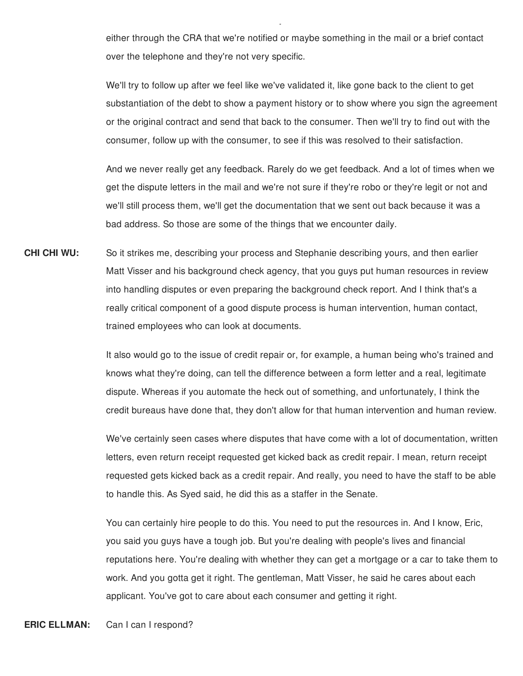either through the CRA that we're notified or maybe something in the mail or a brief contact over the telephone and they're not very specific.

, where  $y = y$  , we have  $y = y$ 

 We'll try to follow up after we feel like we've validated it, like gone back to the client to get substantiation of the debt to show a payment history or to show where you sign the agreement or the original contract and send that back to the consumer. Then we'll try to find out with the consumer, follow up with the consumer, to see if this was resolved to their satisfaction.

 And we never really get any feedback. Rarely do we get feedback. And a lot of times when we get the dispute letters in the mail and we're not sure if they're robo or they're legit or not and we'll still process them, we'll get the documentation that we sent out back because it was a bad address. So those are some of the things that we encounter daily.

**CHI CHI WU:**  Matt Visser and his background check agency, that you guys put human resources in review into handling disputes or even preparing the background check report. And I think that's a really critical component of a good dispute process is human intervention, human contact, trained employees who can look at documents. So it strikes me, describing your process and Stephanie describing yours, and then earlier

> It also would go to the issue of credit repair or, for example, a human being who's trained and knows what they're doing, can tell the difference between a form letter and a real, legitimate dispute. Whereas if you automate the heck out of something, and unfortunately, I think the credit bureaus have done that, they don't allow for that human intervention and human review.

> We've certainly seen cases where disputes that have come with a lot of documentation, written letters, even return receipt requested get kicked back as credit repair. I mean, return receipt requested gets kicked back as a credit repair. And really, you need to have the staff to be able to handle this. As Syed said, he did this as a staffer in the Senate.

> You can certainly hire people to do this. You need to put the resources in. And I know, Eric, you said you guys have a tough job. But you're dealing with people's lives and financial reputations here. You're dealing with whether they can get a mortgage or a car to take them to work. And you gotta get it right. The gentleman, Matt Visser, he said he cares about each applicant. You've got to care about each consumer and getting it right.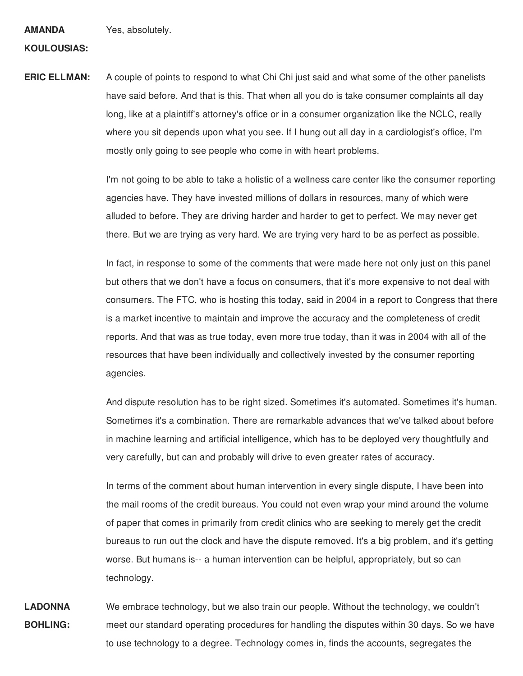**AMANDA** Yes, absolutely.

#### **KOULOUSIAS:**

**ERIC ELLMAN:** A couple of points to respond to what Chi Chi just said and what some of the other panelists have said before. And that is this. That when all you do is take consumer complaints all day long, like at a plaintiff's attorney's office or in a consumer organization like the NCLC, really where you sit depends upon what you see. If I hung out all day in a cardiologist's office, I'm mostly only going to see people who come in with heart problems.

> I'm not going to be able to take a holistic of a wellness care center like the consumer reporting agencies have. They have invested millions of dollars in resources, many of which were alluded to before. They are driving harder and harder to get to perfect. We may never get there. But we are trying as very hard. We are trying very hard to be as perfect as possible.

> In fact, in response to some of the comments that were made here not only just on this panel but others that we don't have a focus on consumers, that it's more expensive to not deal with consumers. The FTC, who is hosting this today, said in 2004 in a report to Congress that there is a market incentive to maintain and improve the accuracy and the completeness of credit reports. And that was as true today, even more true today, than it was in 2004 with all of the resources that have been individually and collectively invested by the consumer reporting agencies.

> And dispute resolution has to be right sized. Sometimes it's automated. Sometimes it's human. Sometimes it's a combination. There are remarkable advances that we've talked about before in machine learning and artificial intelligence, which has to be deployed very thoughtfully and very carefully, but can and probably will drive to even greater rates of accuracy.

> In terms of the comment about human intervention in every single dispute, I have been into the mail rooms of the credit bureaus. You could not even wrap your mind around the volume of paper that comes in primarily from credit clinics who are seeking to merely get the credit bureaus to run out the clock and have the dispute removed. It's a big problem, and it's getting worse. But humans is-- a human intervention can be helpful, appropriately, but so can technology.

**LADONNA BOHLING:** We embrace technology, but we also train our people. Without the technology, we couldn't meet our standard operating procedures for handling the disputes within 30 days. So we have to use technology to a degree. Technology comes in, finds the accounts, segregates the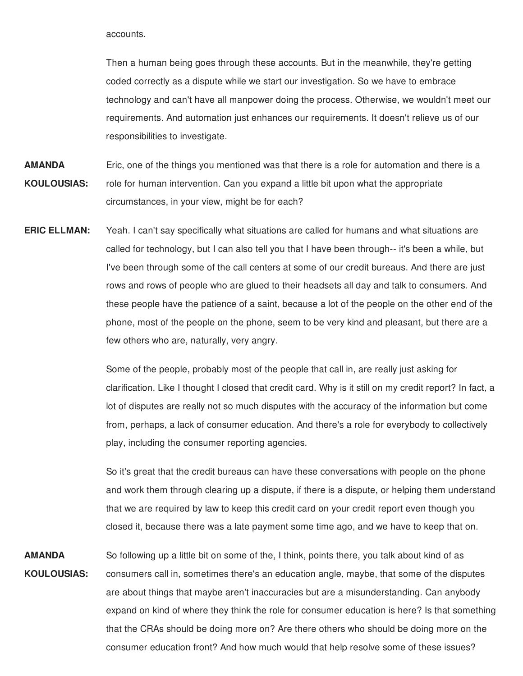accounts.

 Then a human being goes through these accounts. But in the meanwhile, they're getting coded correctly as a dispute while we start our investigation. So we have to embrace technology and can't have all manpower doing the process. Otherwise, we wouldn't meet our requirements. And automation just enhances our requirements. It doesn't relieve us of our responsibilities to investigate.

- Eric, one of the things you mentioned was that there is a role for automation and there is a role for human intervention. Can you expand a little bit upon what the appropriate circumstances, in your view, might be for each? **AMANDA KOULOUSIAS:**
- Yeah. I can't say specifically what situations are called for humans and what situations are called for technology, but I can also tell you that I have been through-- it's been a while, but I've been through some of the call centers at some of our credit bureaus. And there are just rows and rows of people who are glued to their headsets all day and talk to consumers. And these people have the patience of a saint, because a lot of the people on the other end of the phone, most of the people on the phone, seem to be very kind and pleasant, but there are a few others who are, naturally, very angry. **ERIC ELLMAN:**

 Some of the people, probably most of the people that call in, are really just asking for clarification. Like I thought I closed that credit card. Why is it still on my credit report? In fact, a lot of disputes are really not so much disputes with the accuracy of the information but come from, perhaps, a lack of consumer education. And there's a role for everybody to collectively play, including the consumer reporting agencies.

 So it's great that the credit bureaus can have these conversations with people on the phone and work them through clearing up a dispute, if there is a dispute, or helping them understand that we are required by law to keep this credit card on your credit report even though you closed it, because there was a late payment some time ago, and we have to keep that on.

 So following up a little bit on some of the, I think, points there, you talk about kind of as consumers call in, sometimes there's an education angle, maybe, that some of the disputes are about things that maybe aren't inaccuracies but are a misunderstanding. Can anybody expand on kind of where they think the role for consumer education is here? Is that something that the CRAs should be doing more on? Are there others who should be doing more on the consumer education front? And how much would that help resolve some of these issues?**AMANDA KOULOUSIAS:**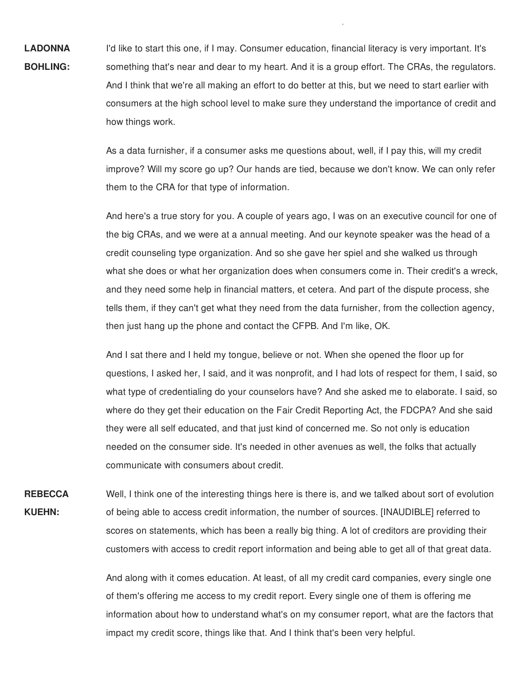I'd like to start this one, if I may. Consumer education, financial literacy is very important. It's something that's near and dear to my heart. And it is a group effort. The CRAs, the regulators. And I think that we're all making an effort to do better at this, but we need to start earlier with consumers at the high school level to make sure they understand the importance of credit and how things work. **LADONNA BOHLING:**

> As a data furnisher, if a consumer asks me questions about, well, if I pay this, will my credit improve? Will my score go up? Our hands are tied, because we don't know. We can only refer them to the CRA for that type of information.

p

 And here's a true story for you. A couple of years ago, I was on an executive council for one of the big CRAs, and we were at a annual meeting. And our keynote speaker was the head of a credit counseling type organization. And so she gave her spiel and she walked us through what she does or what her organization does when consumers come in. Their credit's a wreck, and they need some help in financial matters, et cetera. And part of the dispute process, she tells them, if they can't get what they need from the data furnisher, from the collection agency, then just hang up the phone and contact the CFPB. And I'm like, OK.

 And I sat there and I held my tongue, believe or not. When she opened the floor up for questions, I asked her, I said, and it was nonprofit, and I had lots of respect for them, I said, so what type of credentialing do your counselors have? And she asked me to elaborate. I said, so where do they get their education on the Fair Credit Reporting Act, the FDCPA? And she said they were all self educated, and that just kind of concerned me. So not only is education needed on the consumer side. It's needed in other avenues as well, the folks that actually communicate with consumers about credit.

 Well, I think one of the interesting things here is there is, and we talked about sort of evolution of being able to access credit information, the number of sources. [INAUDIBLE] referred to scores on statements, which has been a really big thing. A lot of creditors are providing their customers with access to credit report information and being able to get all of that great data. **REBECCA KUEHN:**

> And along with it comes education. At least, of all my credit card companies, every single one of them's offering me access to my credit report. Every single one of them is offering me information about how to understand what's on my consumer report, what are the factors that impact my credit score, things like that. And I think that's been very helpful.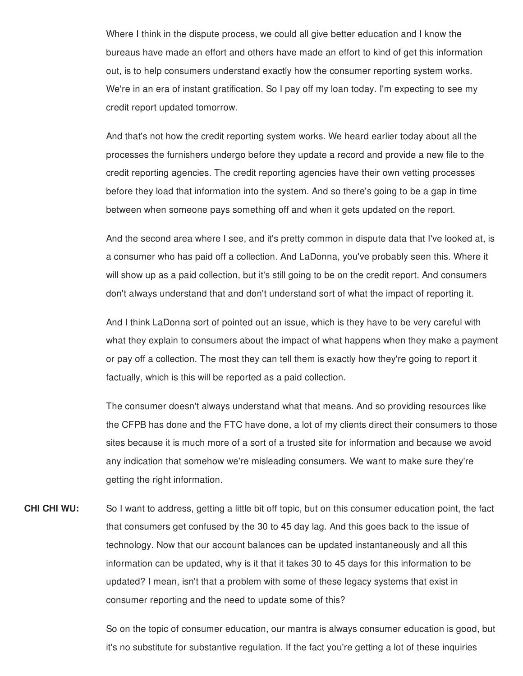Where I think in the dispute process, we could all give better education and I know the bureaus have made an effort and others have made an effort to kind of get this information out, is to help consumers understand exactly how the consumer reporting system works. We're in an era of instant gratification. So I pay off my loan today. I'm expecting to see my credit report updated tomorrow.

 And that's not how the credit reporting system works. We heard earlier today about all the processes the furnishers undergo before they update a record and provide a new file to the credit reporting agencies. The credit reporting agencies have their own vetting processes before they load that information into the system. And so there's going to be a gap in time between when someone pays something off and when it gets updated on the report.

 And the second area where I see, and it's pretty common in dispute data that I've looked at, is a consumer who has paid off a collection. And LaDonna, you've probably seen this. Where it will show up as a paid collection, but it's still going to be on the credit report. And consumers don't always understand that and don't understand sort of what the impact of reporting it.

 And I think LaDonna sort of pointed out an issue, which is they have to be very careful with what they explain to consumers about the impact of what happens when they make a payment or pay off a collection. The most they can tell them is exactly how they're going to report it factually, which is this will be reported as a paid collection.

 The consumer doesn't always understand what that means. And so providing resources like the CFPB has done and the FTC have done, a lot of my clients direct their consumers to those sites because it is much more of a sort of a trusted site for information and because we avoid any indication that somehow we're misleading consumers. We want to make sure they're getting the right information.

**CHI CHI WU:**  that consumers get confused by the 30 to 45 day lag. And this goes back to the issue of technology. Now that our account balances can be updated instantaneously and all this information can be updated, why is it that it takes 30 to 45 days for this information to be updated? I mean, isn't that a problem with some of these legacy systems that exist in consumer reporting and the need to update some of this? So I want to address, getting a little bit off topic, but on this consumer education point, the fact

> So on the topic of consumer education, our mantra is always consumer education is good, but it's no substitute for substantive regulation. If the fact you're getting a lot of these inquiries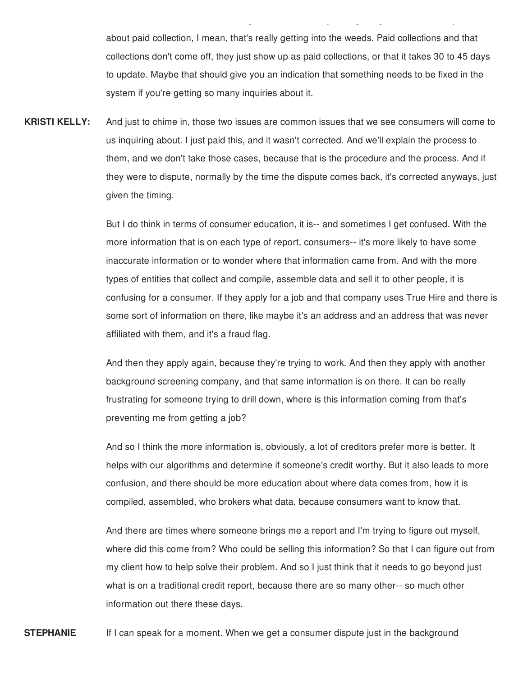about paid collection, I mean, that's really getting into the weeds. Paid collections and that collections don't come off, they just show up as paid collections, or that it takes 30 to 45 days to update. Maybe that should give you an indication that something needs to be fixed in the system if you're getting so many inquiries about it.

 $\mathcal{G}$  y g g g  $\mathcal{G}$  g  $\mathcal{G}$  g  $\mathcal{G}$  g  $\mathcal{G}$  g  $\mathcal{G}$  g  $\mathcal{G}$  g  $\mathcal{G}$ 

 And just to chime in, those two issues are common issues that we see consumers will come to us inquiring about. I just paid this, and it wasn't corrected. And we'll explain the process to them, and we don't take those cases, because that is the procedure and the process. And if they were to dispute, normally by the time the dispute comes back, it's corrected anyways, just given the timing. **KRISTI KELLY:**

> But I do think in terms of consumer education, it is-- and sometimes I get confused. With the more information that is on each type of report, consumers-- it's more likely to have some inaccurate information or to wonder where that information came from. And with the more types of entities that collect and compile, assemble data and sell it to other people, it is confusing for a consumer. If they apply for a job and that company uses True Hire and there is some sort of information on there, like maybe it's an address and an address that was never affiliated with them, and it's a fraud flag.

 And then they apply again, because they're trying to work. And then they apply with another background screening company, and that same information is on there. It can be really frustrating for someone trying to drill down, where is this information coming from that's preventing me from getting a job?

 And so I think the more information is, obviously, a lot of creditors prefer more is better. It helps with our algorithms and determine if someone's credit worthy. But it also leads to more confusion, and there should be more education about where data comes from, how it is compiled, assembled, who brokers what data, because consumers want to know that.

 And there are times where someone brings me a report and I'm trying to figure out myself, where did this come from? Who could be selling this information? So that I can figure out from my client how to help solve their problem. And so I just think that it needs to go beyond just what is on a traditional credit report, because there are so many other-- so much other information out there these days.

 If I can speak for a moment. When we get a consumer dispute just in the background**STEPHANIE**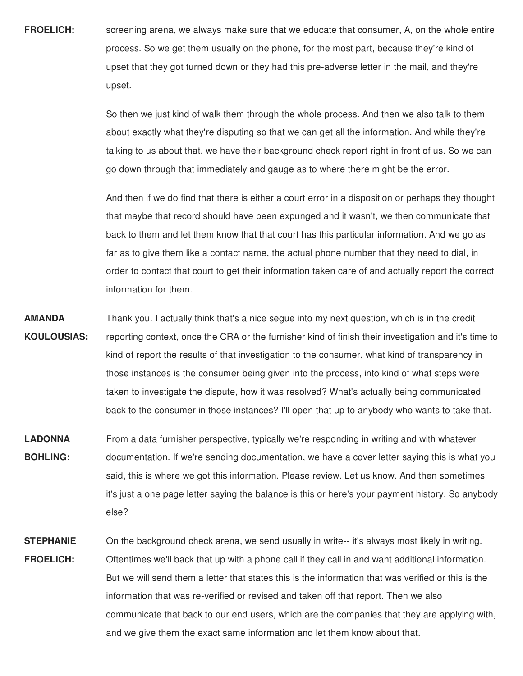**FROELICH:** screening arena, we always make sure that we educate that consumer, A, on the whole entire process. So we get them usually on the phone, for the most part, because they're kind of upset that they got turned down or they had this pre-adverse letter in the mail, and they're upset.

> So then we just kind of walk them through the whole process. And then we also talk to them about exactly what they're disputing so that we can get all the information. And while they're talking to us about that, we have their background check report right in front of us. So we can go down through that immediately and gauge as to where there might be the error.

> And then if we do find that there is either a court error in a disposition or perhaps they thought that maybe that record should have been expunged and it wasn't, we then communicate that back to them and let them know that that court has this particular information. And we go as far as to give them like a contact name, the actual phone number that they need to dial, in order to contact that court to get their information taken care of and actually report the correct information for them.

- **AMANDA KOULOUSIAS:** Thank you. I actually think that's a nice segue into my next question, which is in the credit reporting context, once the CRA or the furnisher kind of finish their investigation and it's time to kind of report the results of that investigation to the consumer, what kind of transparency in those instances is the consumer being given into the process, into kind of what steps were taken to investigate the dispute, how it was resolved? What's actually being communicated back to the consumer in those instances? I'll open that up to anybody who wants to take that.
- **LADONNA BOHLING:** From a data furnisher perspective, typically we're responding in writing and with whatever documentation. If we're sending documentation, we have a cover letter saying this is what you said, this is where we got this information. Please review. Let us know. And then sometimes it's just a one page letter saying the balance is this or here's your payment history. So anybody else?
- **STEPHANIE FROELICH:** On the background check arena, we send usually in write-- it's always most likely in writing. Oftentimes we'll back that up with a phone call if they call in and want additional information. But we will send them a letter that states this is the information that was verified or this is the information that was re-verified or revised and taken off that report. Then we also communicate that back to our end users, which are the companies that they are applying with, and we give them the exact same information and let them know about that.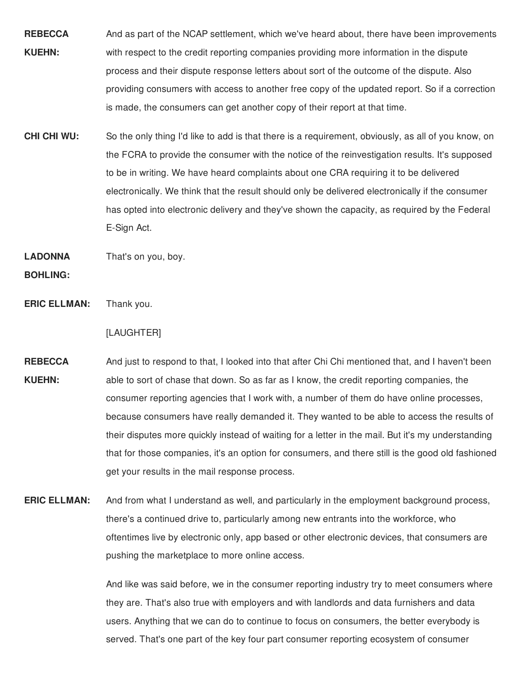- **REBECCA** And as part of the NCAP settlement, which we've heard about, there have been improvements **KUEHN:** with respect to the credit reporting companies providing more information in the dispute process and their dispute response letters about sort of the outcome of the dispute. Also providing consumers with access to another free copy of the updated report. So if a correction is made, the consumers can get another copy of their report at that time.
- **CHI CHI WU:**  the FCRA to provide the consumer with the notice of the reinvestigation results. It's supposed to be in writing. We have heard complaints about one CRA requiring it to be delivered electronically. We think that the result should only be delivered electronically if the consumer has opted into electronic delivery and they've shown the capacity, as required by the Federal So the only thing I'd like to add is that there is a requirement, obviously, as all of you know, on E-Sign Act.

**LADONNA** That's on you, boy.

**BOHLING:**

**ERIC ELLMAN:** Thank you.

## [LAUGHTER]

- **REBECCA** And just to respond to that, I looked into that after Chi Chi mentioned that, and I haven't been **KUEHN:** able to sort of chase that down. So as far as I know, the credit reporting companies, the consumer reporting agencies that I work with, a number of them do have online processes, because consumers have really demanded it. They wanted to be able to access the results of their disputes more quickly instead of waiting for a letter in the mail. But it's my understanding that for those companies, it's an option for consumers, and there still is the good old fashioned get your results in the mail response process.
- **ERIC ELLMAN:** And from what I understand as well, and particularly in the employment background process, there's a continued drive to, particularly among new entrants into the workforce, who oftentimes live by electronic only, app based or other electronic devices, that consumers are pushing the marketplace to more online access.

 And like was said before, we in the consumer reporting industry try to meet consumers where they are. That's also true with employers and with landlords and data furnishers and data users. Anything that we can do to continue to focus on consumers, the better everybody is served. That's one part of the key four part consumer reporting ecosystem of consumer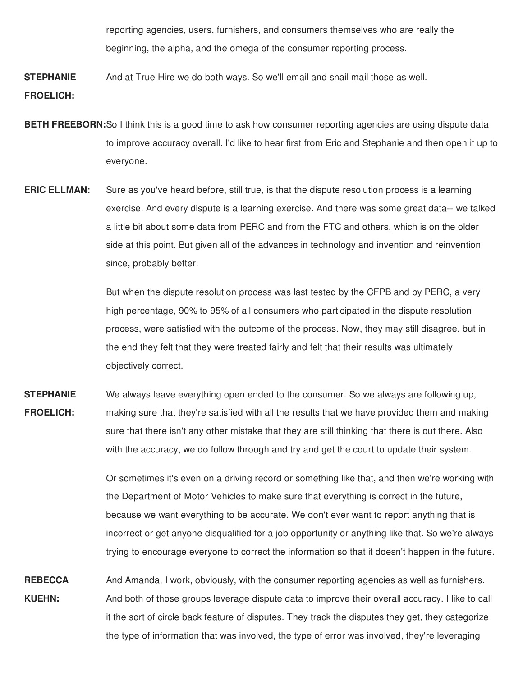reporting agencies, users, furnishers, and consumers themselves who are really the beginning, the alpha, and the omega of the consumer reporting process.

**STEPHANIE FROELICH:** And at True Hire we do both ways. So we'll email and snail mail those as well.

- **BETH FREEBORN:**So I think this is a good time to ask how consumer reporting agencies are using dispute data to improve accuracy overall. I'd like to hear first from Eric and Stephanie and then open it up to everyone.
- **ERIC ELLMAN:** Sure as you've heard before, still true, is that the dispute resolution process is a learning exercise. And every dispute is a learning exercise. And there was some great data-- we talked a little bit about some data from PERC and from the FTC and others, which is on the older side at this point. But given all of the advances in technology and invention and reinvention since, probably better.

But when the dispute resolution process was last tested by the CFPB and by PERC, a very high percentage, 90% to 95% of all consumers who participated in the dispute resolution process, were satisfied with the outcome of the process. Now, they may still disagree, but in the end they felt that they were treated fairly and felt that their results was ultimately objectively correct.

**STEPHANIE FROELICH:** We always leave everything open ended to the consumer. So we always are following up, making sure that they're satisfied with all the results that we have provided them and making sure that there isn't any other mistake that they are still thinking that there is out there. Also with the accuracy, we do follow through and try and get the court to update their system.

> Or sometimes it's even on a driving record or something like that, and then we're working with the Department of Motor Vehicles to make sure that everything is correct in the future, because we want everything to be accurate. We don't ever want to report anything that is incorrect or get anyone disqualified for a job opportunity or anything like that. So we're always trying to encourage everyone to correct the information so that it doesn't happen in the future.

**REBECCA KUEHN:** And Amanda, I work, obviously, with the consumer reporting agencies as well as furnishers. And both of those groups leverage dispute data to improve their overall accuracy. I like to call it the sort of circle back feature of disputes. They track the disputes they get, they categorize the type of information that was involved, the type of error was involved, they're leveraging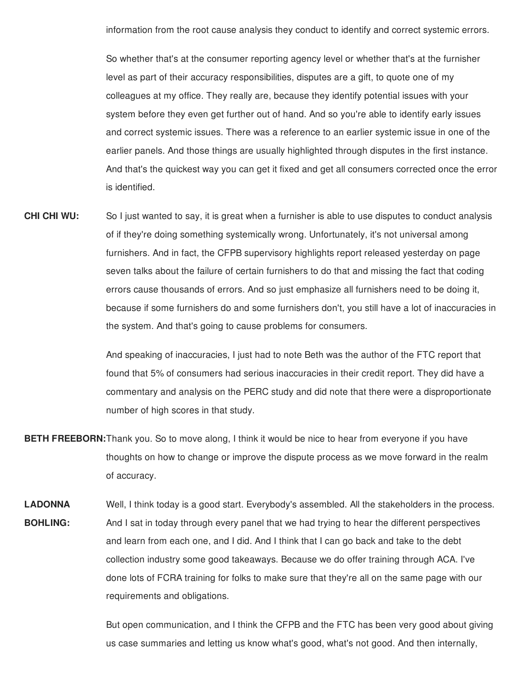information from the root cause analysis they conduct to identify and correct systemic errors.

 So whether that's at the consumer reporting agency level or whether that's at the furnisher level as part of their accuracy responsibilities, disputes are a gift, to quote one of my colleagues at my office. They really are, because they identify potential issues with your system before they even get further out of hand. And so you're able to identify early issues and correct systemic issues. There was a reference to an earlier systemic issue in one of the earlier panels. And those things are usually highlighted through disputes in the first instance. And that's the quickest way you can get it fixed and get all consumers corrected once the error is identified.

 **CHI CHI WU:** of if they're doing something systemically wrong. Unfortunately, it's not universal among furnishers. And in fact, the CFPB supervisory highlights report released yesterday on page seven talks about the failure of certain furnishers to do that and missing the fact that coding errors cause thousands of errors. And so just emphasize all furnishers need to be doing it, because if some furnishers do and some furnishers don't, you still have a lot of inaccuracies in the system. And that's going to cause problems for consumers. So I just wanted to say, it is great when a furnisher is able to use disputes to conduct analysis

> And speaking of inaccuracies, I just had to note Beth was the author of the FTC report that found that 5% of consumers had serious inaccuracies in their credit report. They did have a commentary and analysis on the PERC study and did note that there were a disproportionate number of high scores in that study.

- **BETH FREEBORN:**Thank you. So to move along, I think it would be nice to hear from everyone if you have thoughts on how to change or improve the dispute process as we move forward in the realm of accuracy.
- Well, I think today is a good start. Everybody's assembled. All the stakeholders in the process. And I sat in today through every panel that we had trying to hear the different perspectives and learn from each one, and I did. And I think that I can go back and take to the debt collection industry some good takeaways. Because we do offer training through ACA. I've done lots of FCRA training for folks to make sure that they're all on the same page with our requirements and obligations. **LADONNA BOHLING:**

 But open communication, and I think the CFPB and the FTC has been very good about giving us case summaries and letting us know what's good, what's not good. And then internally,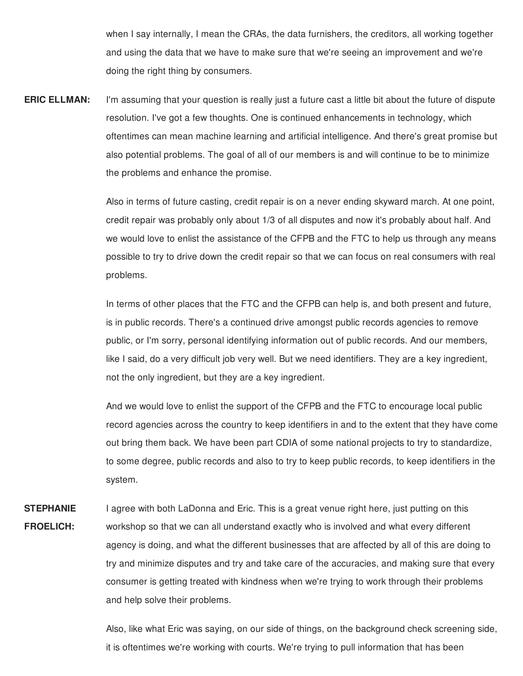when I say internally, I mean the CRAs, the data furnishers, the creditors, all working together and using the data that we have to make sure that we're seeing an improvement and we're doing the right thing by consumers.

 I'm assuming that your question is really just a future cast a little bit about the future of dispute resolution. I've got a few thoughts. One is continued enhancements in technology, which oftentimes can mean machine learning and artificial intelligence. And there's great promise but also potential problems. The goal of all of our members is and will continue to be to minimize the problems and enhance the promise. **ERIC ELLMAN:**

> Also in terms of future casting, credit repair is on a never ending skyward march. At one point, credit repair was probably only about 1/3 of all disputes and now it's probably about half. And we would love to enlist the assistance of the CFPB and the FTC to help us through any means possible to try to drive down the credit repair so that we can focus on real consumers with real problems.

 In terms of other places that the FTC and the CFPB can help is, and both present and future, is in public records. There's a continued drive amongst public records agencies to remove public, or I'm sorry, personal identifying information out of public records. And our members, like I said, do a very difficult job very well. But we need identifiers. They are a key ingredient, not the only ingredient, but they are a key ingredient.

 And we would love to enlist the support of the CFPB and the FTC to encourage local public record agencies across the country to keep identifiers in and to the extent that they have come out bring them back. We have been part CDIA of some national projects to try to standardize, to some degree, public records and also to try to keep public records, to keep identifiers in the system.

 I agree with both LaDonna and Eric. This is a great venue right here, just putting on this workshop so that we can all understand exactly who is involved and what every different agency is doing, and what the different businesses that are affected by all of this are doing to try and minimize disputes and try and take care of the accuracies, and making sure that every consumer is getting treated with kindness when we're trying to work through their problems and help solve their problems. **STEPHANIE FROELICH:**

> Also, like what Eric was saying, on our side of things, on the background check screening side, it is oftentimes we're working with courts. We're trying to pull information that has been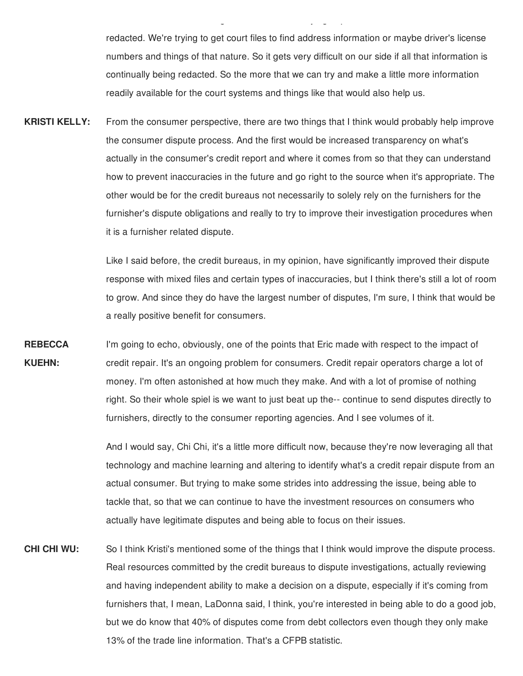redacted. We're trying to get court files to find address information or maybe driver's license numbers and things of that nature. So it gets very difficult on our side if all that information is continually being redacted. So the more that we can try and make a little more information readily available for the court systems and things like that would also help us.

g y g programa en la programa en la programa en la programa en la programa en la programa en la programa en la<br>En la programa en la programa en la programa en la programa en la programa en la programa en la programa en la

 From the consumer perspective, there are two things that I think would probably help improve the consumer dispute process. And the first would be increased transparency on what's actually in the consumer's credit report and where it comes from so that they can understand how to prevent inaccuracies in the future and go right to the source when it's appropriate. The other would be for the credit bureaus not necessarily to solely rely on the furnishers for the furnisher's dispute obligations and really to try to improve their investigation procedures when it is a furnisher related dispute. **KRISTI KELLY:**

> Like I said before, the credit bureaus, in my opinion, have significantly improved their dispute response with mixed files and certain types of inaccuracies, but I think there's still a lot of room to grow. And since they do have the largest number of disputes, I'm sure, I think that would be a really positive benefit for consumers.

 I'm going to echo, obviously, one of the points that Eric made with respect to the impact of credit repair. It's an ongoing problem for consumers. Credit repair operators charge a lot of money. I'm often astonished at how much they make. And with a lot of promise of nothing right. So their whole spiel is we want to just beat up the-- continue to send disputes directly to furnishers, directly to the consumer reporting agencies. And I see volumes of it. **REBECCA KUEHN:**

> And I would say, Chi Chi, it's a little more difficult now, because they're now leveraging all that technology and machine learning and altering to identify what's a credit repair dispute from an actual consumer. But trying to make some strides into addressing the issue, being able to tackle that, so that we can continue to have the investment resources on consumers who actually have legitimate disputes and being able to focus on their issues.

 **CHI CHI WU:** Real resources committed by the credit bureaus to dispute investigations, actually reviewing and having independent ability to make a decision on a dispute, especially if it's coming from furnishers that, I mean, LaDonna said, I think, you're interested in being able to do a good job, but we do know that 40% of disputes come from debt collectors even though they only make 13% of the trade line information. That's a CFPB statistic.So I think Kristi's mentioned some of the things that I think would improve the dispute process.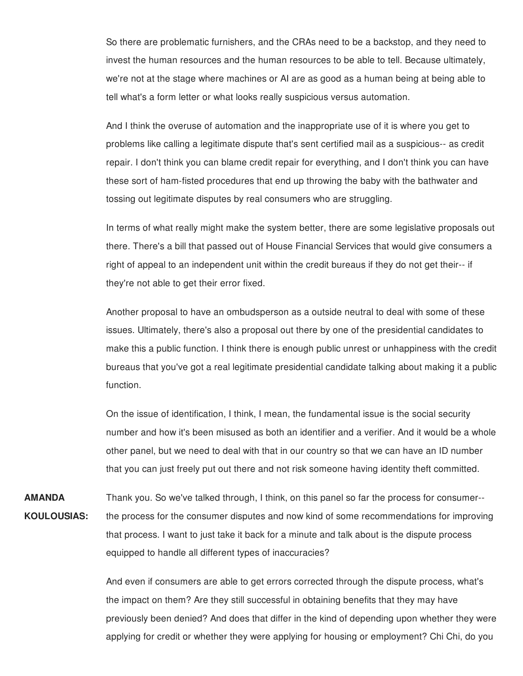So there are problematic furnishers, and the CRAs need to be a backstop, and they need to invest the human resources and the human resources to be able to tell. Because ultimately, we're not at the stage where machines or AI are as good as a human being at being able to tell what's a form letter or what looks really suspicious versus automation.

 And I think the overuse of automation and the inappropriate use of it is where you get to problems like calling a legitimate dispute that's sent certified mail as a suspicious-- as credit repair. I don't think you can blame credit repair for everything, and I don't think you can have these sort of ham-fisted procedures that end up throwing the baby with the bathwater and tossing out legitimate disputes by real consumers who are struggling.

 In terms of what really might make the system better, there are some legislative proposals out there. There's a bill that passed out of House Financial Services that would give consumers a right of appeal to an independent unit within the credit bureaus if they do not get their-- if they're not able to get their error fixed.

 Another proposal to have an ombudsperson as a outside neutral to deal with some of these issues. Ultimately, there's also a proposal out there by one of the presidential candidates to make this a public function. I think there is enough public unrest or unhappiness with the credit bureaus that you've got a real legitimate presidential candidate talking about making it a public function.

 On the issue of identification, I think, I mean, the fundamental issue is the social security number and how it's been misused as both an identifier and a verifier. And it would be a whole other panel, but we need to deal with that in our country so that we can have an ID number that you can just freely put out there and not risk someone having identity theft committed.

 Thank you. So we've talked through, I think, on this panel so far the process for consumer-- the process for the consumer disputes and now kind of some recommendations for improving that process. I want to just take it back for a minute and talk about is the dispute process equipped to handle all different types of inaccuracies? **AMANDA KOULOUSIAS:**

> And even if consumers are able to get errors corrected through the dispute process, what's the impact on them? Are they still successful in obtaining benefits that they may have previously been denied? And does that differ in the kind of depending upon whether they were applying for credit or whether they were applying for housing or employment? Chi Chi, do you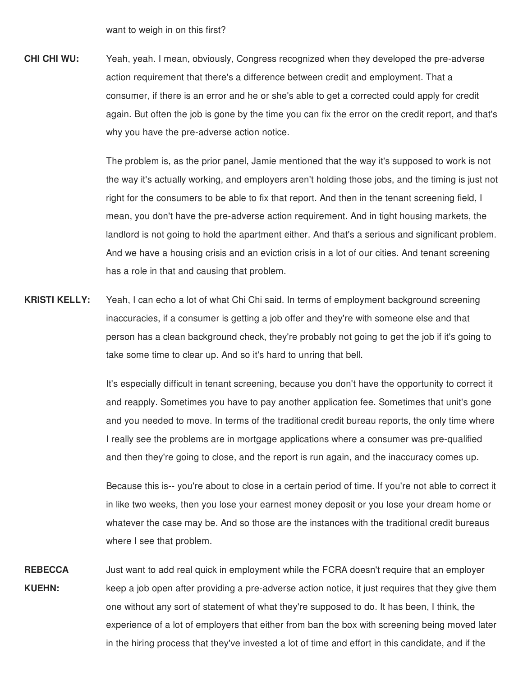want to weigh in on this first?

**CHI CHI WU:** Yeah, yeah. I mean, obviously, Congress recognized when they developed the pre-adverse action requirement that there's a difference between credit and employment. That a consumer, if there is an error and he or she's able to get a corrected could apply for credit again. But often the job is gone by the time you can fix the error on the credit report, and that's why you have the pre-adverse action notice.

> The problem is, as the prior panel, Jamie mentioned that the way it's supposed to work is not the way it's actually working, and employers aren't holding those jobs, and the timing is just not right for the consumers to be able to fix that report. And then in the tenant screening field, I mean, you don't have the pre-adverse action requirement. And in tight housing markets, the landlord is not going to hold the apartment either. And that's a serious and significant problem. And we have a housing crisis and an eviction crisis in a lot of our cities. And tenant screening has a role in that and causing that problem.

**KRISTI KELLY:** Yeah, I can echo a lot of what Chi Chi said. In terms of employment background screening inaccuracies, if a consumer is getting a job offer and they're with someone else and that person has a clean background check, they're probably not going to get the job if it's going to take some time to clear up. And so it's hard to unring that bell.

> It's especially difficult in tenant screening, because you don't have the opportunity to correct it and reapply. Sometimes you have to pay another application fee. Sometimes that unit's gone and you needed to move. In terms of the traditional credit bureau reports, the only time where I really see the problems are in mortgage applications where a consumer was pre-qualified and then they're going to close, and the report is run again, and the inaccuracy comes up.

> Because this is-- you're about to close in a certain period of time. If you're not able to correct it in like two weeks, then you lose your earnest money deposit or you lose your dream home or whatever the case may be. And so those are the instances with the traditional credit bureaus where I see that problem.

**REBECCA KUEHN:** Just want to add real quick in employment while the FCRA doesn't require that an employer keep a job open after providing a pre-adverse action notice, it just requires that they give them one without any sort of statement of what they're supposed to do. It has been, I think, the experience of a lot of employers that either from ban the box with screening being moved later in the hiring process that they've invested a lot of time and effort in this candidate, and if the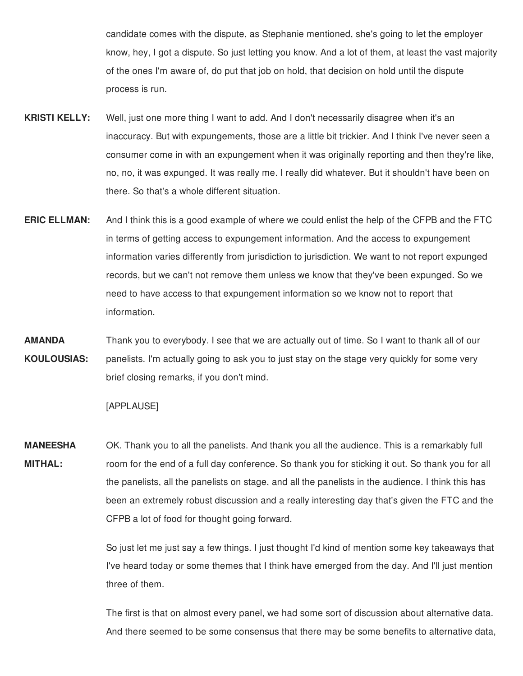candidate comes with the dispute, as Stephanie mentioned, she's going to let the employer know, hey, I got a dispute. So just letting you know. And a lot of them, at least the vast majority of the ones I'm aware of, do put that job on hold, that decision on hold until the dispute process is run.

- **KRISTI KELLY:** Well, just one more thing I want to add. And I don't necessarily disagree when it's an inaccuracy. But with expungements, those are a little bit trickier. And I think I've never seen a consumer come in with an expungement when it was originally reporting and then they're like, no, no, it was expunged. It was really me. I really did whatever. But it shouldn't have been on there. So that's a whole different situation.
- **ERIC ELLMAN:** And I think this is a good example of where we could enlist the help of the CFPB and the FTC in terms of getting access to expungement information. And the access to expungement information varies differently from jurisdiction to jurisdiction. We want to not report expunged records, but we can't not remove them unless we know that they've been expunged. So we need to have access to that expungement information so we know not to report that information.
- **AMANDA** Thank you to everybody. I see that we are actually out of time. So I want to thank all of our **KOULOUSIAS:** panelists. I'm actually going to ask you to just stay on the stage very quickly for some very brief closing remarks, if you don't mind.

## [APPLAUSE]

 **MANEESHA** OK. Thank you to all the panelists. And thank you all the audience. This is a remarkably full **MITHAL:** room for the end of a full day conference. So thank you for sticking it out. So thank you for all the panelists, all the panelists on stage, and all the panelists in the audience. I think this has been an extremely robust discussion and a really interesting day that's given the FTC and the CFPB a lot of food for thought going forward.

> So just let me just say a few things. I just thought I'd kind of mention some key takeaways that I've heard today or some themes that I think have emerged from the day. And I'll just mention three of them.

> The first is that on almost every panel, we had some sort of discussion about alternative data. And there seemed to be some consensus that there may be some benefits to alternative data,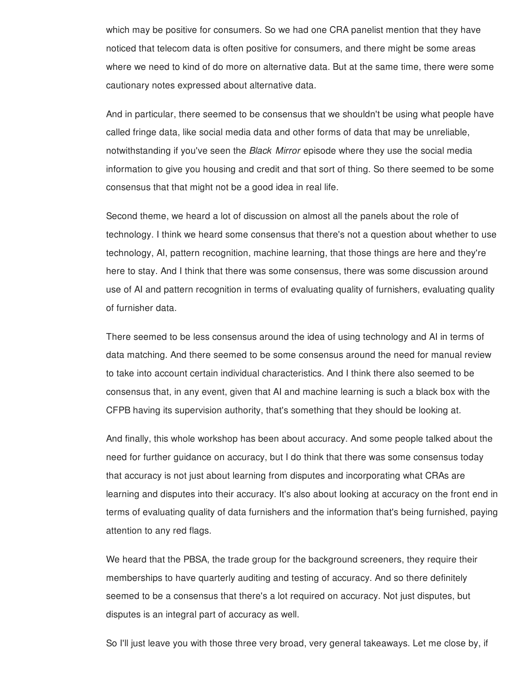which may be positive for consumers. So we had one CRA panelist mention that they have noticed that telecom data is often positive for consumers, and there might be some areas where we need to kind of do more on alternative data. But at the same time, there were some cautionary notes expressed about alternative data.

 And in particular, there seemed to be consensus that we shouldn't be using what people have called fringe data, like social media data and other forms of data that may be unreliable, notwithstanding if you've seen the *Black Mirror* episode where they use the social media information to give you housing and credit and that sort of thing. So there seemed to be some consensus that that might not be a good idea in real life.

 Second theme, we heard a lot of discussion on almost all the panels about the role of technology. I think we heard some consensus that there's not a question about whether to use technology, AI, pattern recognition, machine learning, that those things are here and they're here to stay. And I think that there was some consensus, there was some discussion around use of AI and pattern recognition in terms of evaluating quality of furnishers, evaluating quality of furnisher data.

 There seemed to be less consensus around the idea of using technology and AI in terms of data matching. And there seemed to be some consensus around the need for manual review to take into account certain individual characteristics. And I think there also seemed to be consensus that, in any event, given that AI and machine learning is such a black box with the CFPB having its supervision authority, that's something that they should be looking at.

 And finally, this whole workshop has been about accuracy. And some people talked about the need for further guidance on accuracy, but I do think that there was some consensus today that accuracy is not just about learning from disputes and incorporating what CRAs are learning and disputes into their accuracy. It's also about looking at accuracy on the front end in terms of evaluating quality of data furnishers and the information that's being furnished, paying attention to any red flags.

 We heard that the PBSA, the trade group for the background screeners, they require their memberships to have quarterly auditing and testing of accuracy. And so there definitely seemed to be a consensus that there's a lot required on accuracy. Not just disputes, but disputes is an integral part of accuracy as well.

So I'll just leave you with those three very broad, very general takeaways. Let me close by, if